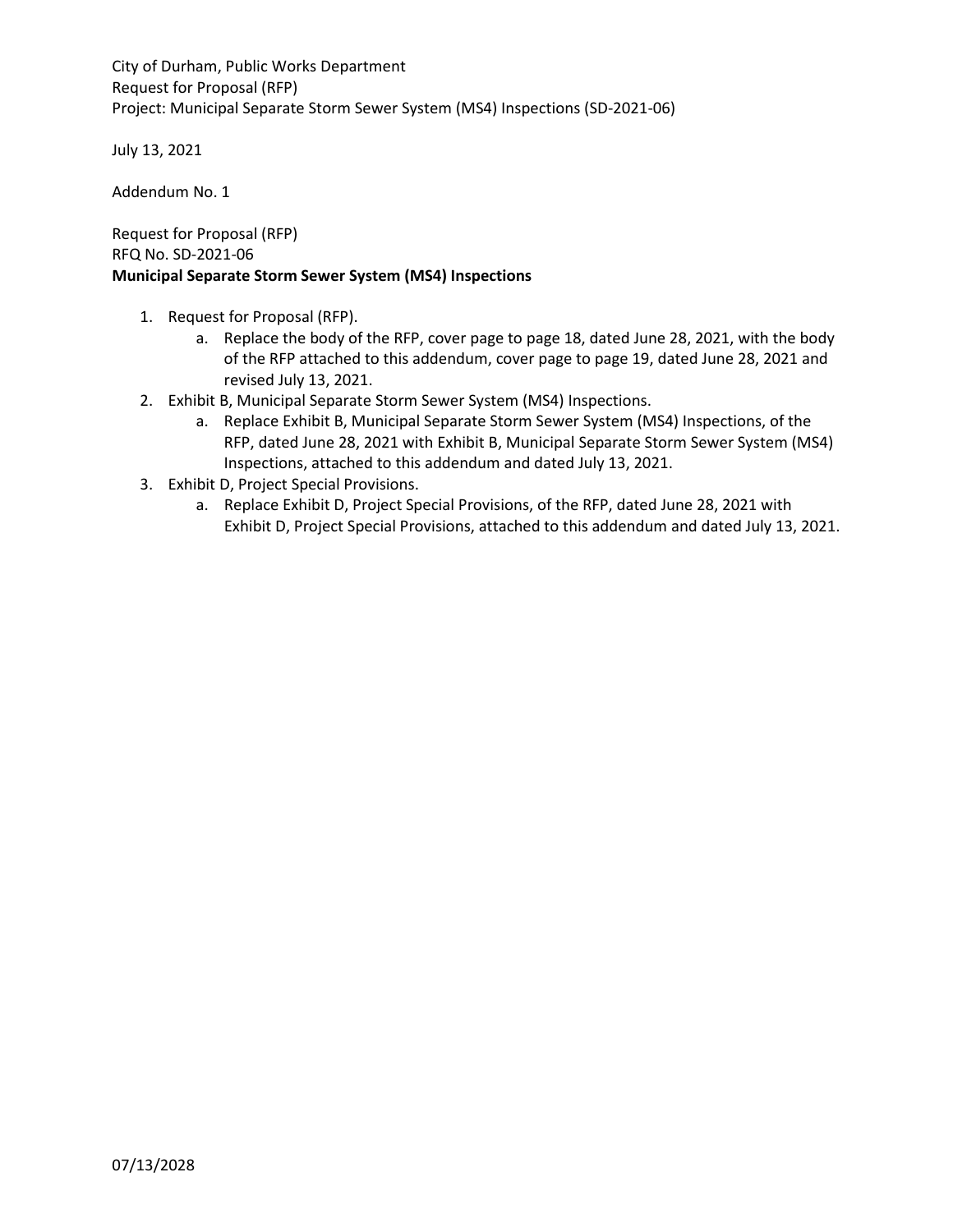City of Durham, Public Works Department Request for Proposal (RFP) Project: Municipal Separate Storm Sewer System (MS4) Inspections (SD-2021-06)

July 13, 2021

Addendum No. 1

Request for Proposal (RFP) RFQ No. SD-2021-06 **Municipal Separate Storm Sewer System (MS4) Inspections**

- 1. Request for Proposal (RFP).
	- a. Replace the body of the RFP, cover page to page 18, dated June 28, 2021, with the body of the RFP attached to this addendum, cover page to page 19, dated June 28, 2021 and revised July 13, 2021.
- 2. Exhibit B, Municipal Separate Storm Sewer System (MS4) Inspections.
	- a. Replace Exhibit B, Municipal Separate Storm Sewer System (MS4) Inspections, of the RFP, dated June 28, 2021 with Exhibit B, Municipal Separate Storm Sewer System (MS4) Inspections, attached to this addendum and dated July 13, 2021.
- 3. Exhibit D, Project Special Provisions.
	- a. Replace Exhibit D, Project Special Provisions, of the RFP, dated June 28, 2021 with Exhibit D, Project Special Provisions, attached to this addendum and dated July 13, 2021.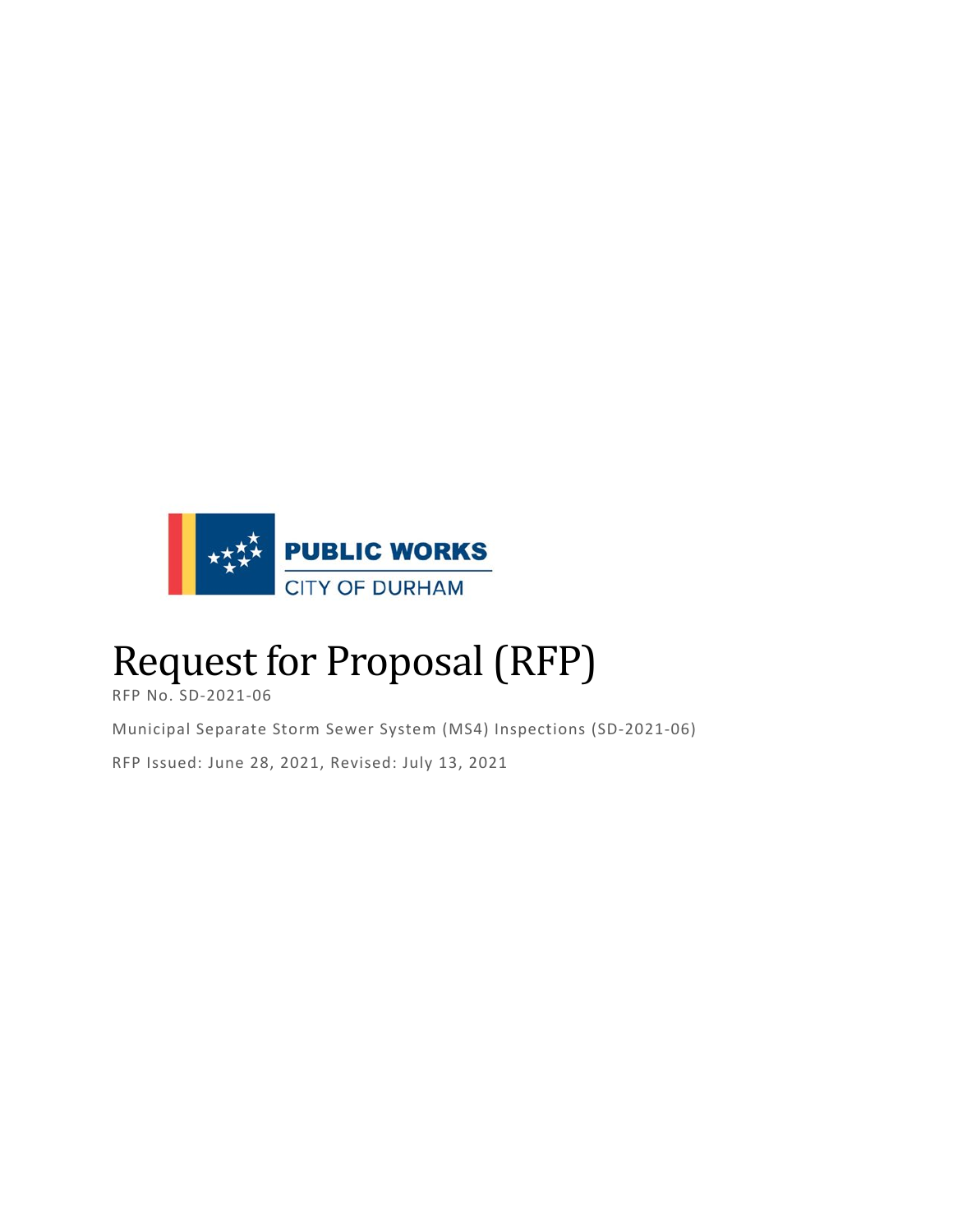

# Request for Proposal (RFP)

RFP No. SD-2021-06

Municipal Separate Storm Sewer System (MS4) Inspections (SD-2021-06) RFP Issued: June 28, 2021, Revised: July 13, 2021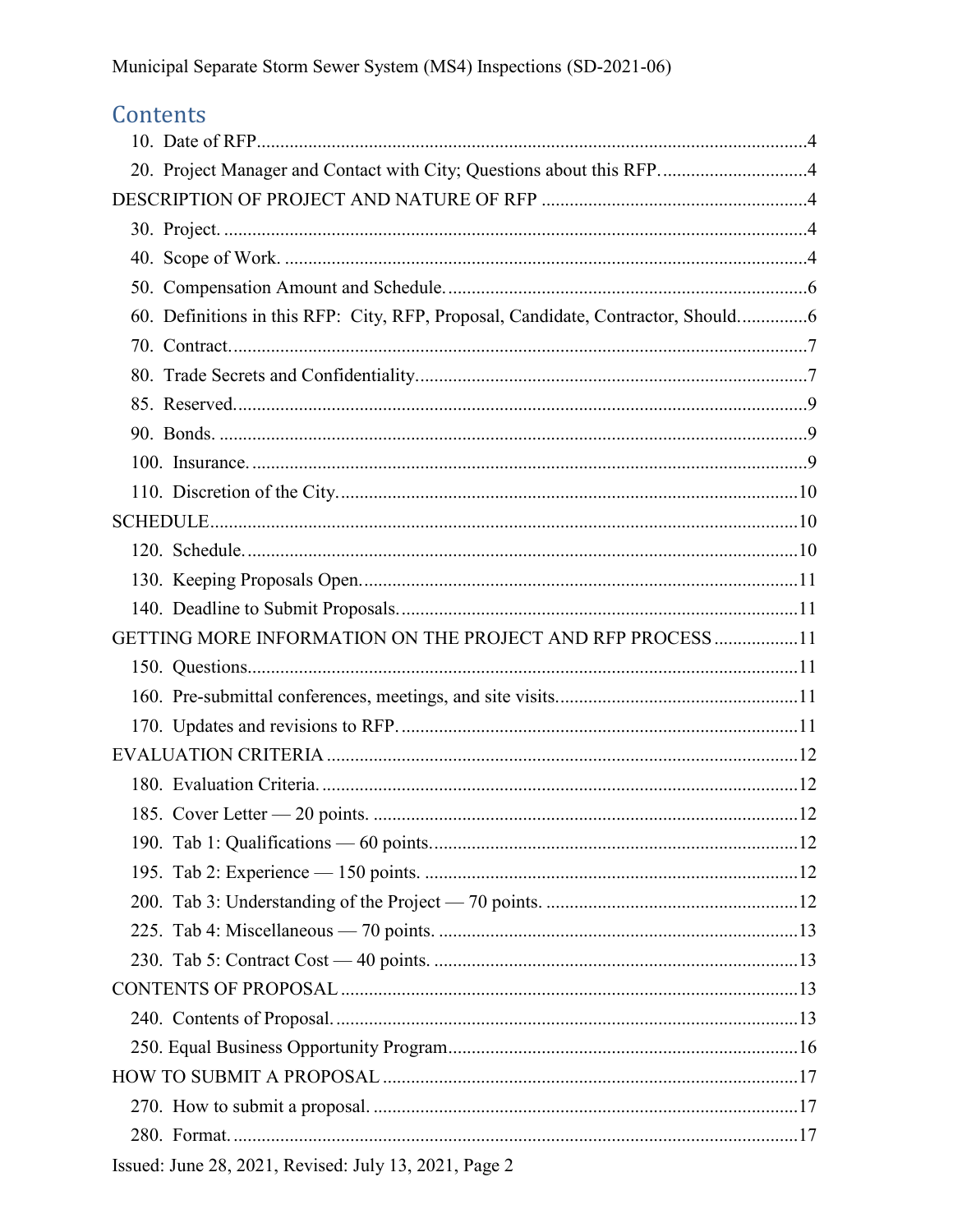# Contents

| 20. Project Manager and Contact with City; Questions about this RFP4             |  |
|----------------------------------------------------------------------------------|--|
|                                                                                  |  |
|                                                                                  |  |
|                                                                                  |  |
|                                                                                  |  |
| 60. Definitions in this RFP: City, RFP, Proposal, Candidate, Contractor, Should6 |  |
|                                                                                  |  |
|                                                                                  |  |
|                                                                                  |  |
|                                                                                  |  |
|                                                                                  |  |
|                                                                                  |  |
|                                                                                  |  |
|                                                                                  |  |
|                                                                                  |  |
|                                                                                  |  |
| GETTING MORE INFORMATION ON THE PROJECT AND RFP PROCESS 11                       |  |
|                                                                                  |  |
|                                                                                  |  |
|                                                                                  |  |
|                                                                                  |  |
|                                                                                  |  |
|                                                                                  |  |
|                                                                                  |  |
|                                                                                  |  |
|                                                                                  |  |
|                                                                                  |  |
|                                                                                  |  |
|                                                                                  |  |
|                                                                                  |  |
|                                                                                  |  |
|                                                                                  |  |
|                                                                                  |  |
|                                                                                  |  |
| Issued: June 28, 2021, Revised: July 13, 2021, Page 2                            |  |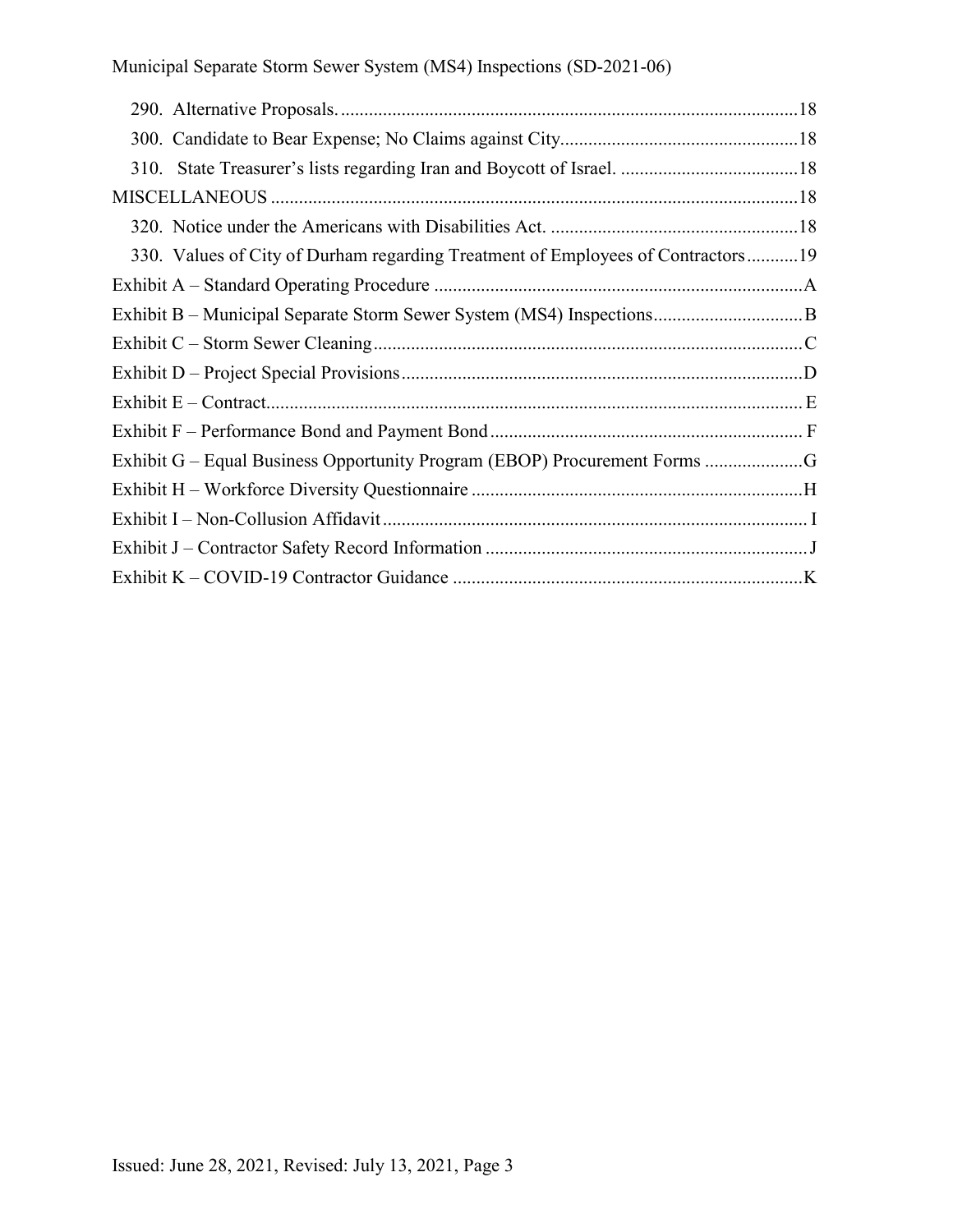| 330. Values of City of Durham regarding Treatment of Employees of Contractors19 |  |
|---------------------------------------------------------------------------------|--|
|                                                                                 |  |
|                                                                                 |  |
|                                                                                 |  |
|                                                                                 |  |
|                                                                                 |  |
|                                                                                 |  |
| Exhibit G – Equal Business Opportunity Program (EBOP) Procurement Forms G       |  |
|                                                                                 |  |
|                                                                                 |  |
|                                                                                 |  |
|                                                                                 |  |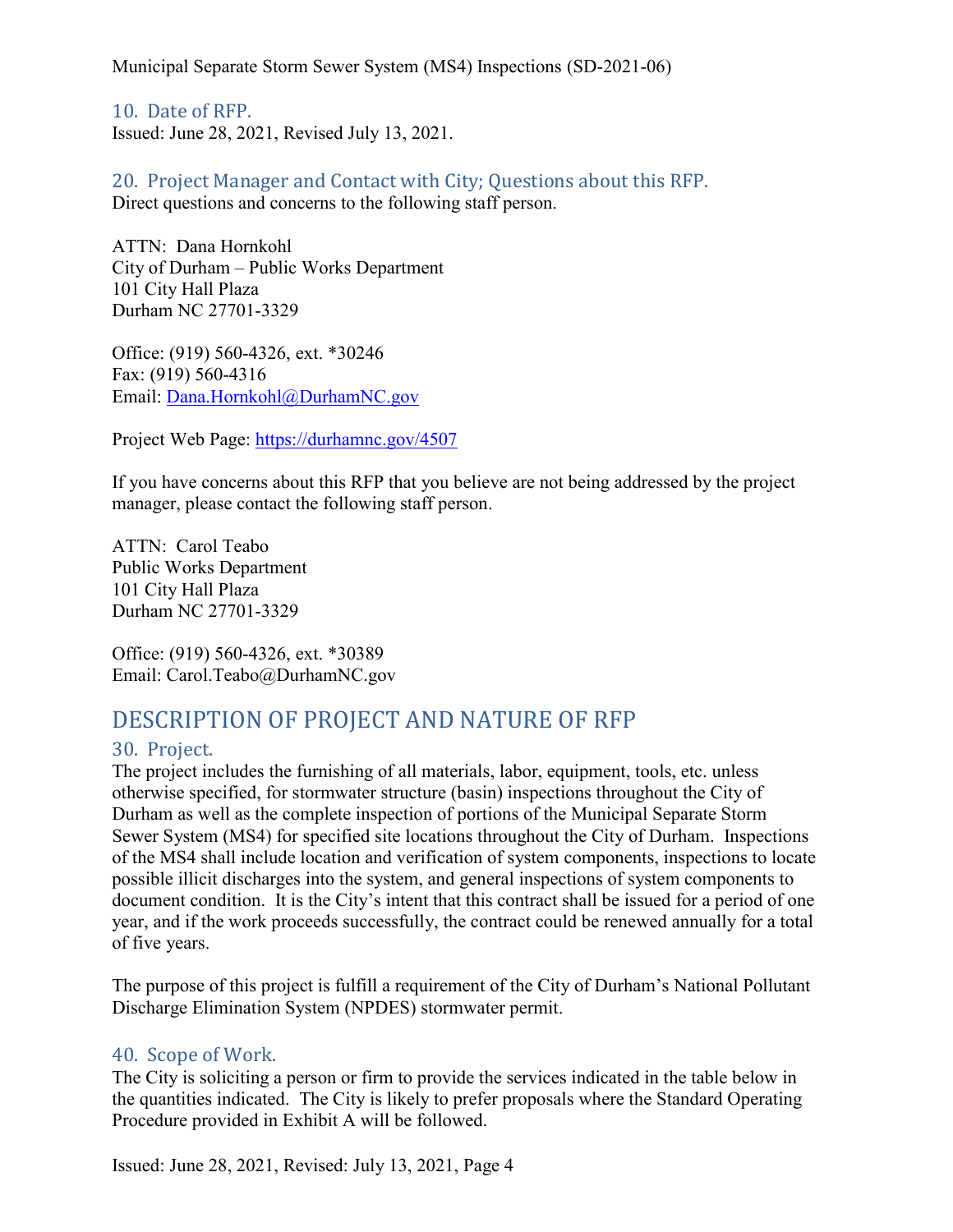<span id="page-4-0"></span>10. Date of RFP. Issued: June 28, 2021, Revised July 13, 2021.

<span id="page-4-1"></span>20. Project Manager and Contact with City; Questions about this RFP. Direct questions and concerns to the following staff person.

ATTN: Dana Hornkohl City of Durham – Public Works Department 101 City Hall Plaza Durham NC 27701-3329

Office: (919) 560-4326, ext. \*30246 Fax: (919) 560-4316 Email: [Dana.Hornkohl@DurhamNC.gov](mailto:Dana.Hornkohl@DurhamNC.gov)

Project Web Page:<https://durhamnc.gov/4507>

If you have concerns about this RFP that you believe are not being addressed by the project manager, please contact the following staff person.

ATTN: Carol Teabo Public Works Department 101 City Hall Plaza Durham NC 27701-3329

Office: (919) 560-4326, ext. \*30389 Email: Carol.Teabo@DurhamNC.gov

# <span id="page-4-2"></span>DESCRIPTION OF PROJECT AND NATURE OF RFP

# <span id="page-4-3"></span>30. Project.

The project includes the furnishing of all materials, labor, equipment, tools, etc. unless otherwise specified, for stormwater structure (basin) inspections throughout the City of Durham as well as the complete inspection of portions of the Municipal Separate Storm Sewer System (MS4) for specified site locations throughout the City of Durham. Inspections of the MS4 shall include location and verification of system components, inspections to locate possible illicit discharges into the system, and general inspections of system components to document condition. It is the City's intent that this contract shall be issued for a period of one year, and if the work proceeds successfully, the contract could be renewed annually for a total of five years.

The purpose of this project is fulfill a requirement of the City of Durham's National Pollutant Discharge Elimination System (NPDES) stormwater permit.

# <span id="page-4-4"></span>40. Scope of Work.

The City is soliciting a person or firm to provide the services indicated in the table below in the quantities indicated. The City is likely to prefer proposals where the Standard Operating Procedure provided in Exhibit A will be followed.

Issued: June 28, 2021, Revised: July 13, 2021, Page 4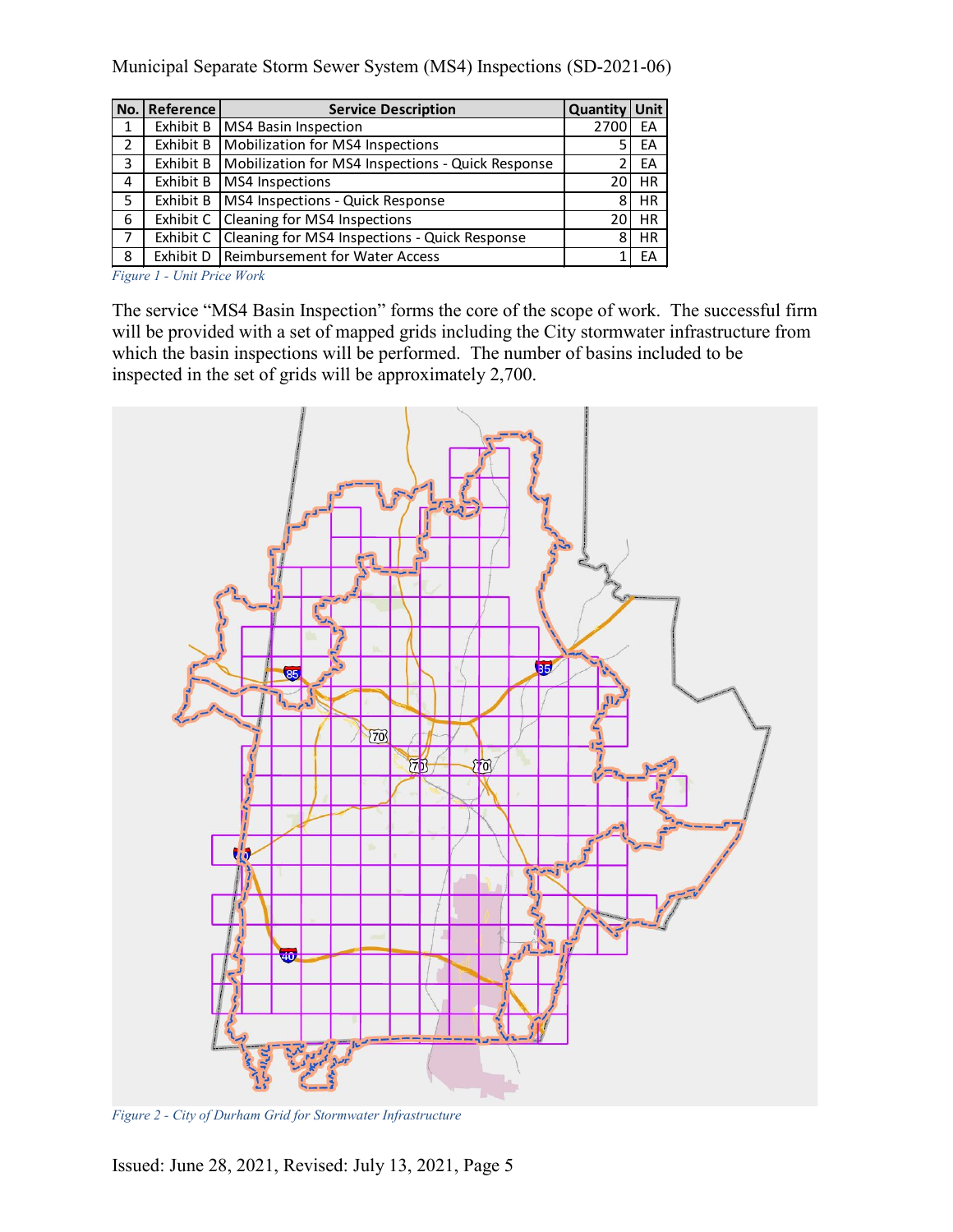| No. | Reference | <b>Service Description</b>                        | Quantity Unit |           |
|-----|-----------|---------------------------------------------------|---------------|-----------|
| 1   | Exhibit B | MS4 Basin Inspection                              | 2700          | EA        |
| 2   | Exhibit B | Mobilization for MS4 Inspections                  | 5             | EA        |
| 3   | Exhibit B | Mobilization for MS4 Inspections - Quick Response | 2             | EA        |
| 4   | Exhibit B | MS4 Inspections                                   | 20            | <b>HR</b> |
| 5   | Exhibit B | MS4 Inspections - Quick Response                  | 8             | <b>HR</b> |
| 6   | Exhibit C | Cleaning for MS4 Inspections                      | 20            | <b>HR</b> |
| 7   | Exhibit C | Cleaning for MS4 Inspections - Quick Response     | 8             | <b>HR</b> |
| 8   | Exhibit D | Reimbursement for Water Access                    |               | EA        |

*Figure 1 - Unit Price Work*

The service "MS4 Basin Inspection" forms the core of the scope of work. The successful firm will be provided with a set of mapped grids including the City stormwater infrastructure from which the basin inspections will be performed. The number of basins included to be inspected in the set of grids will be approximately 2,700.



*Figure 2 - City of Durham Grid for Stormwater Infrastructure*

Issued: June 28, 2021, Revised: July 13, 2021, Page 5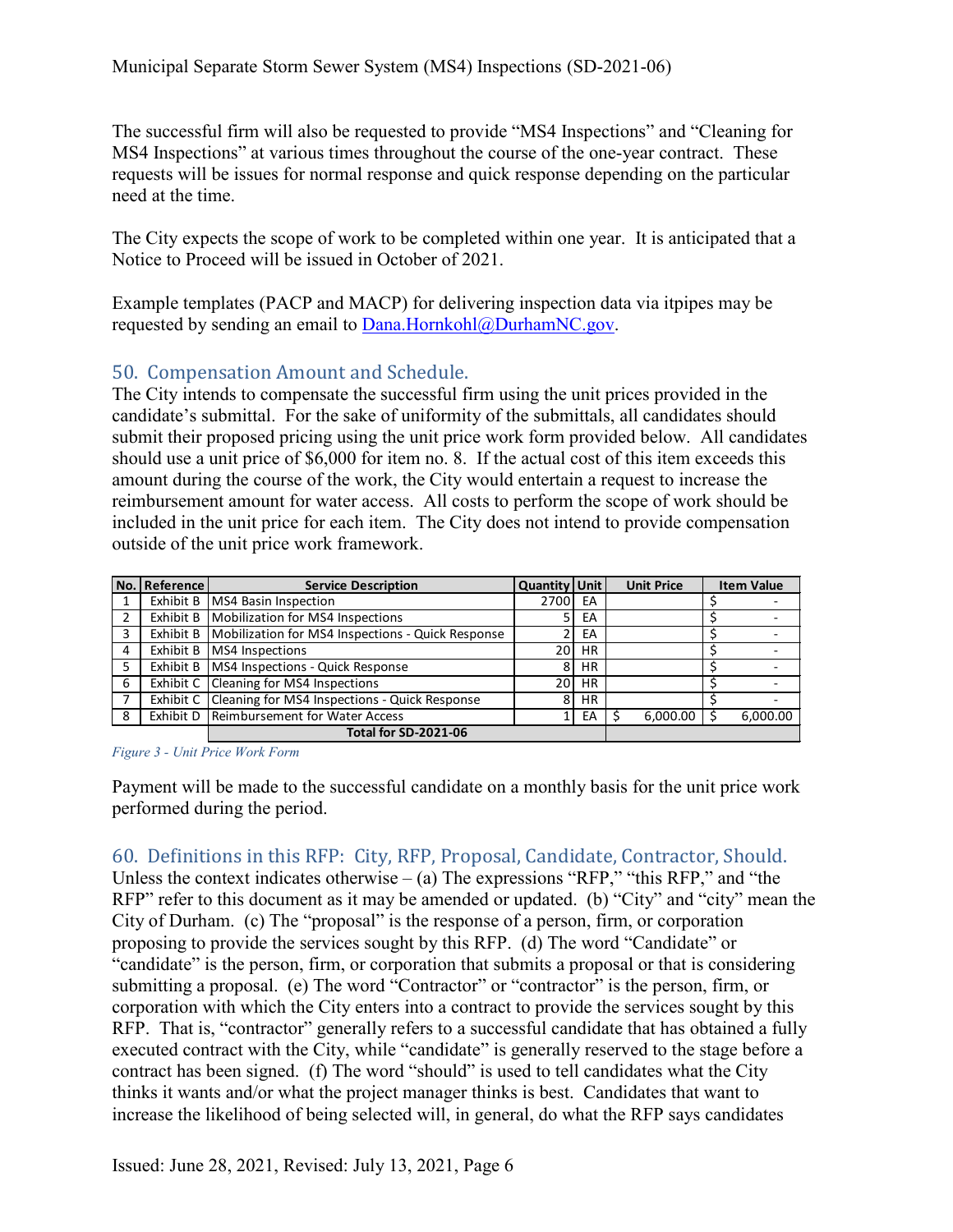The successful firm will also be requested to provide "MS4 Inspections" and "Cleaning for MS4 Inspections" at various times throughout the course of the one-year contract. These requests will be issues for normal response and quick response depending on the particular need at the time.

The City expects the scope of work to be completed within one year. It is anticipated that a Notice to Proceed will be issued in October of 2021.

Example templates (PACP and MACP) for delivering inspection data via itpipes may be requested by sending an email to [Dana.Hornkohl@DurhamNC.gov.](mailto:Dana.Hornkohl@DurhamNC.gov)

# <span id="page-6-0"></span>50. Compensation Amount and Schedule.

The City intends to compensate the successful firm using the unit prices provided in the candidate's submittal. For the sake of uniformity of the submittals, all candidates should submit their proposed pricing using the unit price work form provided below. All candidates should use a unit price of \$6,000 for item no. 8. If the actual cost of this item exceeds this amount during the course of the work, the City would entertain a request to increase the reimbursement amount for water access. All costs to perform the scope of work should be included in the unit price for each item. The City does not intend to provide compensation outside of the unit price work framework.

|                             | No. Reference l | <b>Service Description</b>                                    | Quantity   Unit |           | <b>Unit Price</b> | <b>Item Value</b> |          |
|-----------------------------|-----------------|---------------------------------------------------------------|-----------------|-----------|-------------------|-------------------|----------|
|                             |                 | Exhibit B   MS4 Basin Inspection                              | 2700            | EA        |                   |                   |          |
| $\overline{2}$              | Exhibit B       | Mobilization for MS4 Inspections                              |                 | EA        |                   |                   |          |
| $\overline{3}$              |                 | Exhibit B   Mobilization for MS4 Inspections - Quick Response |                 | EA        |                   |                   |          |
| 4                           |                 | Exhibit B   MS4 Inspections                                   | 20              | HR.       |                   |                   |          |
| 5                           |                 | Exhibit B   MS4 Inspections - Quick Response                  | 8               | <b>HR</b> |                   |                   |          |
| 6                           |                 | Exhibit C Cleaning for MS4 Inspections                        | 20              | HR.       |                   |                   |          |
|                             |                 | Exhibit C Cleaning for MS4 Inspections - Quick Response       | 8               | HR.       |                   |                   |          |
| -8                          |                 | Exhibit D   Reimbursement for Water Access                    |                 | EA        | 6,000.00          |                   | 6,000.00 |
| <b>Total for SD-2021-06</b> |                 |                                                               |                 |           |                   |                   |          |

*Figure 3 - Unit Price Work Form*

Payment will be made to the successful candidate on a monthly basis for the unit price work performed during the period.

# <span id="page-6-1"></span>60. Definitions in this RFP: City, RFP, Proposal, Candidate, Contractor, Should.

Unless the context indicates otherwise – (a) The expressions "RFP," "this RFP," and "the RFP" refer to this document as it may be amended or updated. (b) "City" and "city" mean the City of Durham. (c) The "proposal" is the response of a person, firm, or corporation proposing to provide the services sought by this RFP. (d) The word "Candidate" or "candidate" is the person, firm, or corporation that submits a proposal or that is considering submitting a proposal. (e) The word "Contractor" or "contractor" is the person, firm, or corporation with which the City enters into a contract to provide the services sought by this RFP. That is, "contractor" generally refers to a successful candidate that has obtained a fully executed contract with the City, while "candidate" is generally reserved to the stage before a contract has been signed. (f) The word "should" is used to tell candidates what the City thinks it wants and/or what the project manager thinks is best. Candidates that want to increase the likelihood of being selected will, in general, do what the RFP says candidates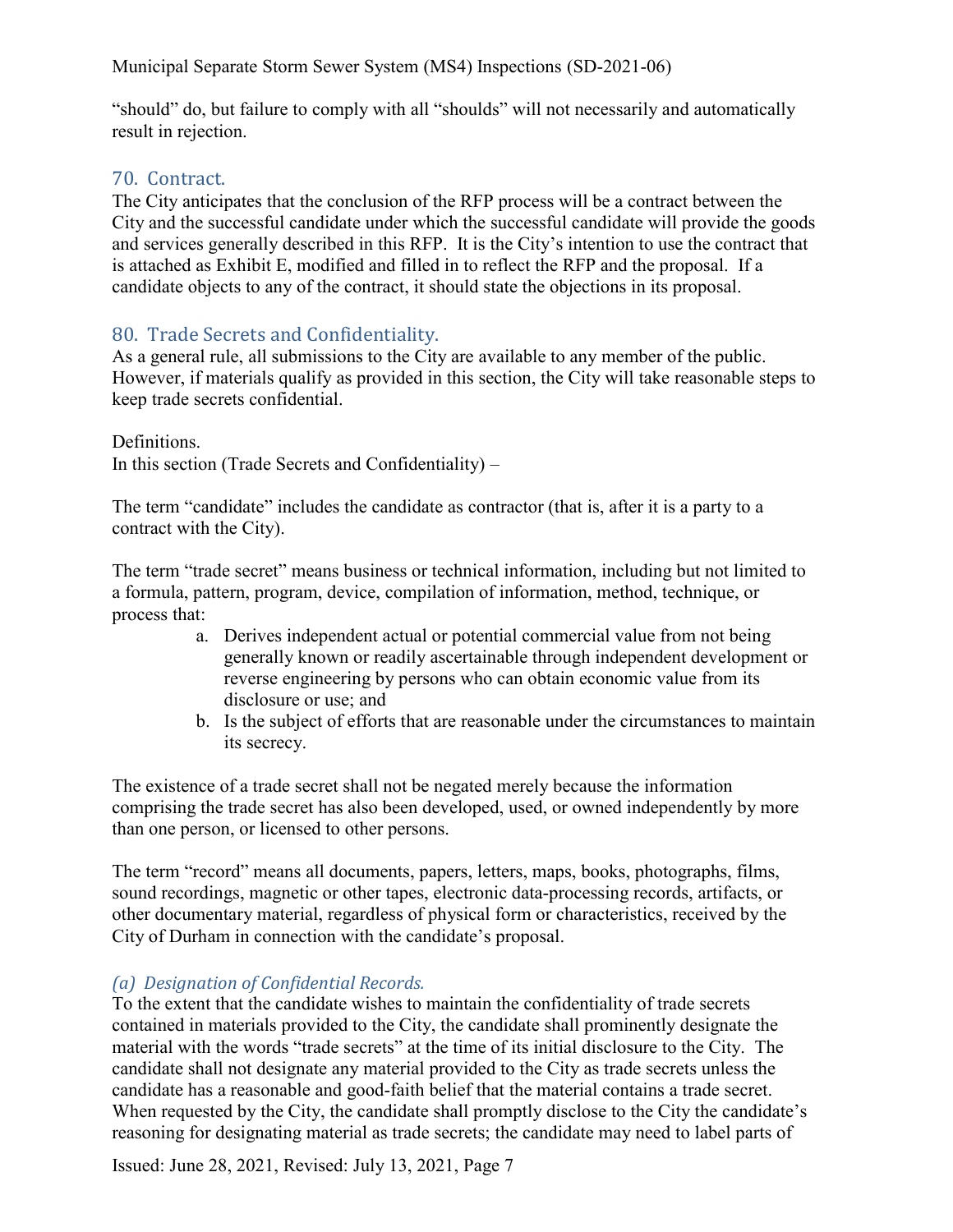"should" do, but failure to comply with all "shoulds" will not necessarily and automatically result in rejection.

# <span id="page-7-0"></span>70. Contract.

The City anticipates that the conclusion of the RFP process will be a contract between the City and the successful candidate under which the successful candidate will provide the goods and services generally described in this RFP. It is the City's intention to use the contract that is attached as Exhibit E, modified and filled in to reflect the RFP and the proposal. If a candidate objects to any of the contract, it should state the objections in its proposal.

# <span id="page-7-1"></span>80. Trade Secrets and Confidentiality.

As a general rule, all submissions to the City are available to any member of the public. However, if materials qualify as provided in this section, the City will take reasonable steps to keep trade secrets confidential.

Definitions. In this section (Trade Secrets and Confidentiality) –

The term "candidate" includes the candidate as contractor (that is, after it is a party to a contract with the City).

The term "trade secret" means business or technical information, including but not limited to a formula, pattern, program, device, compilation of information, method, technique, or process that:

- a. Derives independent actual or potential commercial value from not being generally known or readily ascertainable through independent development or reverse engineering by persons who can obtain economic value from its disclosure or use; and
- b. Is the subject of efforts that are reasonable under the circumstances to maintain its secrecy.

The existence of a trade secret shall not be negated merely because the information comprising the trade secret has also been developed, used, or owned independently by more than one person, or licensed to other persons.

The term "record" means all documents, papers, letters, maps, books, photographs, films, sound recordings, magnetic or other tapes, electronic data-processing records, artifacts, or other documentary material, regardless of physical form or characteristics, received by the City of Durham in connection with the candidate's proposal.

# *(a) Designation of Confidential Records.*

To the extent that the candidate wishes to maintain the confidentiality of trade secrets contained in materials provided to the City, the candidate shall prominently designate the material with the words "trade secrets" at the time of its initial disclosure to the City. The candidate shall not designate any material provided to the City as trade secrets unless the candidate has a reasonable and good-faith belief that the material contains a trade secret. When requested by the City, the candidate shall promptly disclose to the City the candidate's reasoning for designating material as trade secrets; the candidate may need to label parts of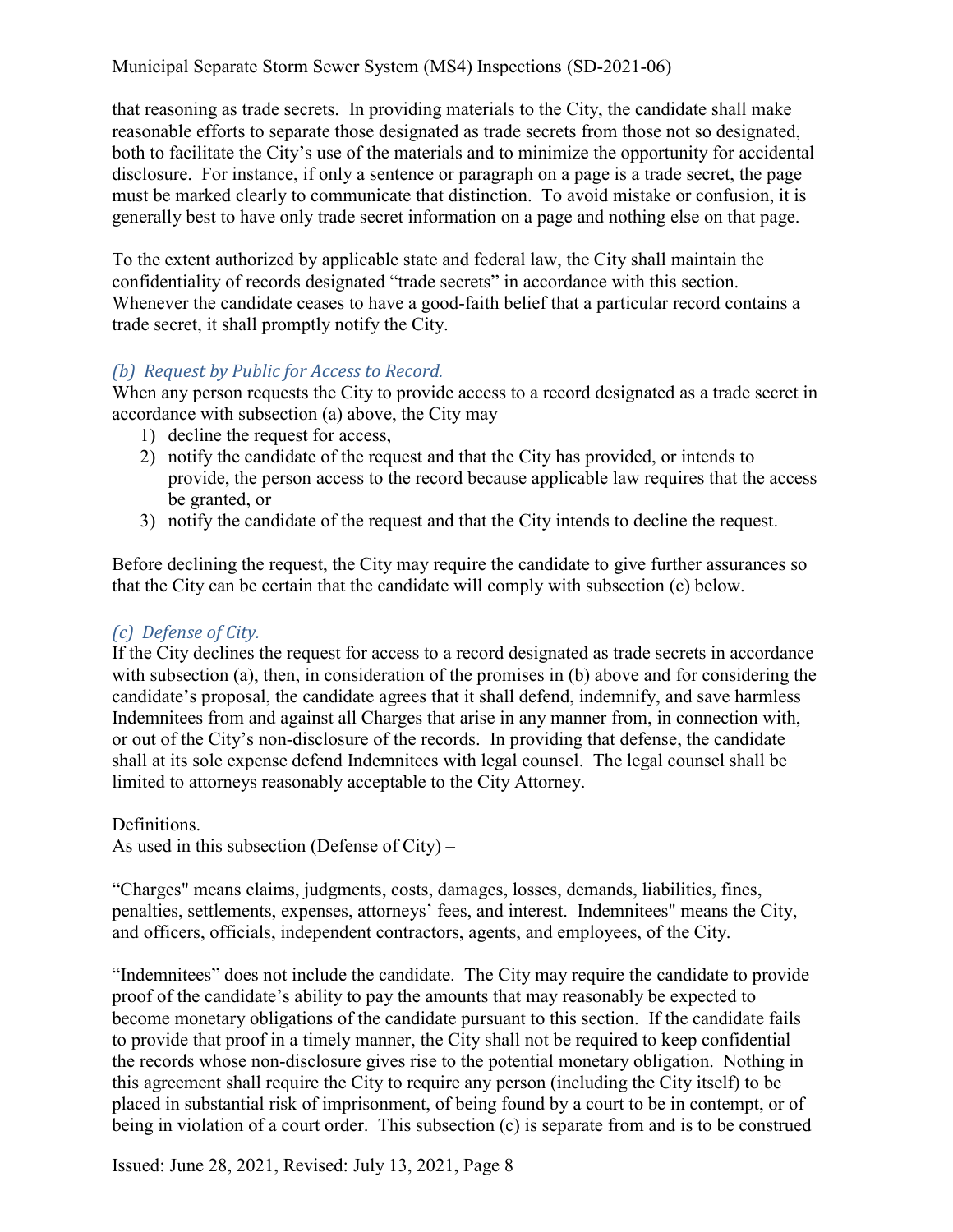that reasoning as trade secrets. In providing materials to the City, the candidate shall make reasonable efforts to separate those designated as trade secrets from those not so designated, both to facilitate the City's use of the materials and to minimize the opportunity for accidental disclosure. For instance, if only a sentence or paragraph on a page is a trade secret, the page must be marked clearly to communicate that distinction. To avoid mistake or confusion, it is generally best to have only trade secret information on a page and nothing else on that page.

To the extent authorized by applicable state and federal law, the City shall maintain the confidentiality of records designated "trade secrets" in accordance with this section. Whenever the candidate ceases to have a good-faith belief that a particular record contains a trade secret, it shall promptly notify the City.

#### *(b) Request by Public for Access to Record.*

When any person requests the City to provide access to a record designated as a trade secret in accordance with subsection (a) above, the City may

- 1) decline the request for access,
- 2) notify the candidate of the request and that the City has provided, or intends to provide, the person access to the record because applicable law requires that the access be granted, or
- 3) notify the candidate of the request and that the City intends to decline the request.

Before declining the request, the City may require the candidate to give further assurances so that the City can be certain that the candidate will comply with subsection (c) below.

# *(c) Defense of City.*

If the City declines the request for access to a record designated as trade secrets in accordance with subsection (a), then, in consideration of the promises in (b) above and for considering the candidate's proposal, the candidate agrees that it shall defend, indemnify, and save harmless Indemnitees from and against all Charges that arise in any manner from, in connection with, or out of the City's non-disclosure of the records. In providing that defense, the candidate shall at its sole expense defend Indemnitees with legal counsel. The legal counsel shall be limited to attorneys reasonably acceptable to the City Attorney.

Definitions.

As used in this subsection (Defense of City) –

"Charges" means claims, judgments, costs, damages, losses, demands, liabilities, fines, penalties, settlements, expenses, attorneys' fees, and interest. Indemnitees" means the City, and officers, officials, independent contractors, agents, and employees, of the City.

"Indemnitees" does not include the candidate. The City may require the candidate to provide proof of the candidate's ability to pay the amounts that may reasonably be expected to become monetary obligations of the candidate pursuant to this section. If the candidate fails to provide that proof in a timely manner, the City shall not be required to keep confidential the records whose non-disclosure gives rise to the potential monetary obligation. Nothing in this agreement shall require the City to require any person (including the City itself) to be placed in substantial risk of imprisonment, of being found by a court to be in contempt, or of being in violation of a court order. This subsection (c) is separate from and is to be construed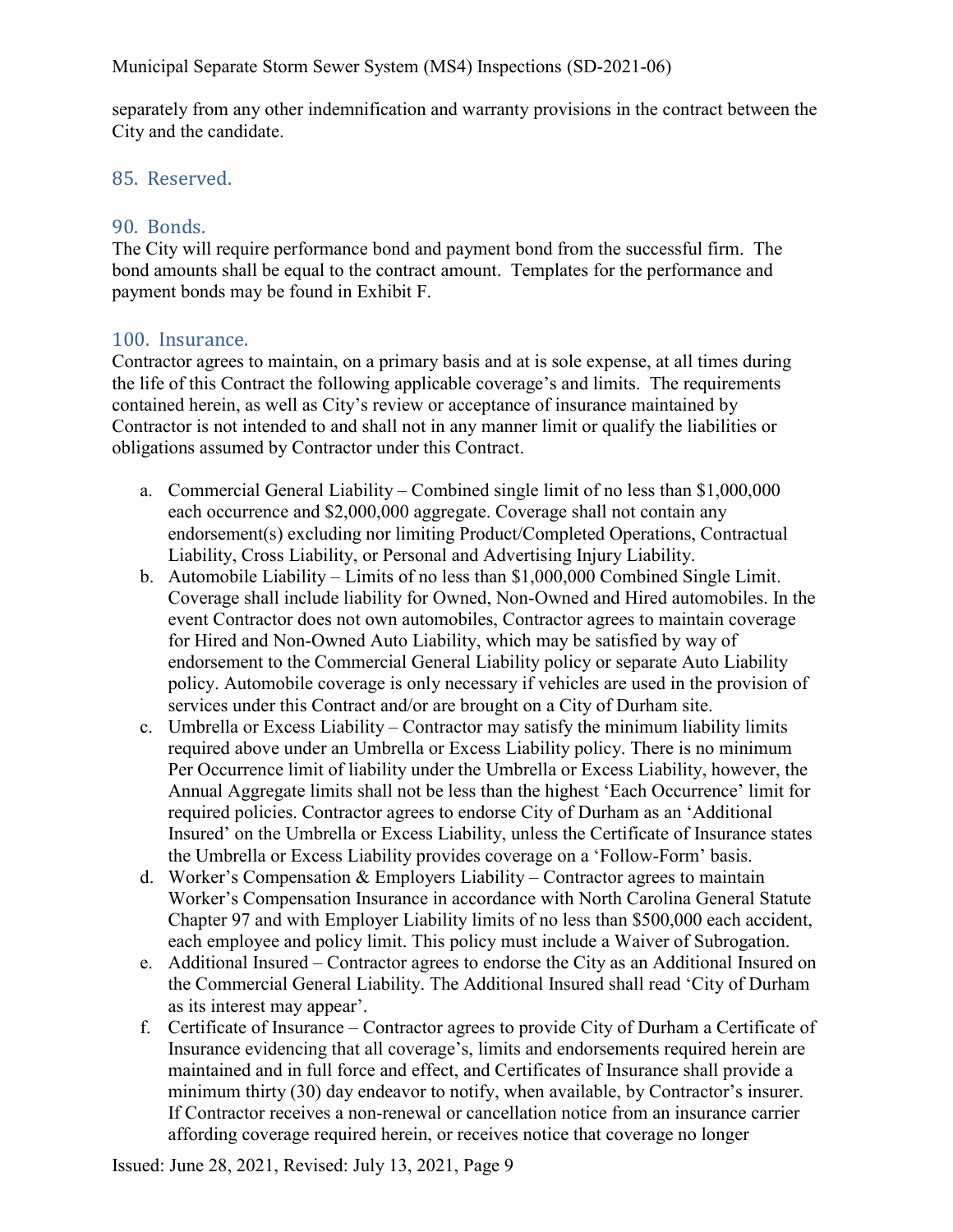separately from any other indemnification and warranty provisions in the contract between the City and the candidate.

## <span id="page-9-0"></span>85. Reserved.

## <span id="page-9-1"></span>90. Bonds.

The City will require performance bond and payment bond from the successful firm. The bond amounts shall be equal to the contract amount. Templates for the performance and payment bonds may be found in Exhibit F.

## <span id="page-9-2"></span>100. Insurance.

Contractor agrees to maintain, on a primary basis and at is sole expense, at all times during the life of this Contract the following applicable coverage's and limits. The requirements contained herein, as well as City's review or acceptance of insurance maintained by Contractor is not intended to and shall not in any manner limit or qualify the liabilities or obligations assumed by Contractor under this Contract.

- a. Commercial General Liability Combined single limit of no less than \$1,000,000 each occurrence and \$2,000,000 aggregate. Coverage shall not contain any endorsement(s) excluding nor limiting Product/Completed Operations, Contractual Liability, Cross Liability, or Personal and Advertising Injury Liability.
- b. Automobile Liability Limits of no less than \$1,000,000 Combined Single Limit. Coverage shall include liability for Owned, Non-Owned and Hired automobiles. In the event Contractor does not own automobiles, Contractor agrees to maintain coverage for Hired and Non-Owned Auto Liability, which may be satisfied by way of endorsement to the Commercial General Liability policy or separate Auto Liability policy. Automobile coverage is only necessary if vehicles are used in the provision of services under this Contract and/or are brought on a City of Durham site.
- c. Umbrella or Excess Liability Contractor may satisfy the minimum liability limits required above under an Umbrella or Excess Liability policy. There is no minimum Per Occurrence limit of liability under the Umbrella or Excess Liability, however, the Annual Aggregate limits shall not be less than the highest 'Each Occurrence' limit for required policies. Contractor agrees to endorse City of Durham as an 'Additional Insured' on the Umbrella or Excess Liability, unless the Certificate of Insurance states the Umbrella or Excess Liability provides coverage on a 'Follow-Form' basis.
- d. Worker's Compensation & Employers Liability Contractor agrees to maintain Worker's Compensation Insurance in accordance with North Carolina General Statute Chapter 97 and with Employer Liability limits of no less than \$500,000 each accident, each employee and policy limit. This policy must include a Waiver of Subrogation.
- e. Additional Insured Contractor agrees to endorse the City as an Additional Insured on the Commercial General Liability. The Additional Insured shall read 'City of Durham as its interest may appear'.
- f. Certificate of Insurance Contractor agrees to provide City of Durham a Certificate of Insurance evidencing that all coverage's, limits and endorsements required herein are maintained and in full force and effect, and Certificates of Insurance shall provide a minimum thirty (30) day endeavor to notify, when available, by Contractor's insurer. If Contractor receives a non-renewal or cancellation notice from an insurance carrier affording coverage required herein, or receives notice that coverage no longer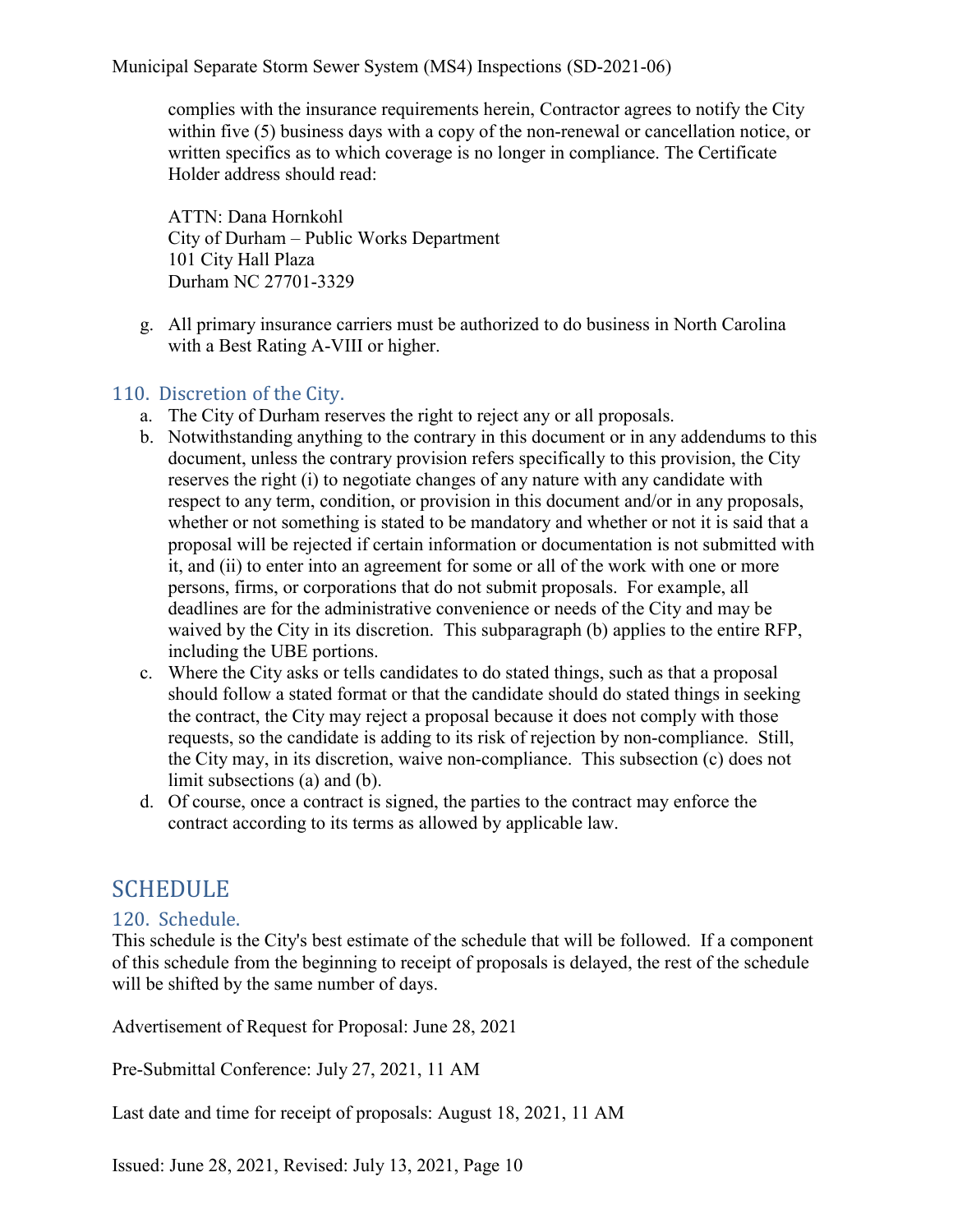complies with the insurance requirements herein, Contractor agrees to notify the City within five (5) business days with a copy of the non-renewal or cancellation notice, or written specifics as to which coverage is no longer in compliance. The Certificate Holder address should read:

ATTN: Dana Hornkohl City of Durham – Public Works Department 101 City Hall Plaza Durham NC 27701-3329

g. All primary insurance carriers must be authorized to do business in North Carolina with a Best Rating A-VIII or higher.

# <span id="page-10-0"></span>110. Discretion of the City.

- a. The City of Durham reserves the right to reject any or all proposals.
- b. Notwithstanding anything to the contrary in this document or in any addendums to this document, unless the contrary provision refers specifically to this provision, the City reserves the right (i) to negotiate changes of any nature with any candidate with respect to any term, condition, or provision in this document and/or in any proposals, whether or not something is stated to be mandatory and whether or not it is said that a proposal will be rejected if certain information or documentation is not submitted with it, and (ii) to enter into an agreement for some or all of the work with one or more persons, firms, or corporations that do not submit proposals. For example, all deadlines are for the administrative convenience or needs of the City and may be waived by the City in its discretion. This subparagraph (b) applies to the entire RFP, including the UBE portions.
- c. Where the City asks or tells candidates to do stated things, such as that a proposal should follow a stated format or that the candidate should do stated things in seeking the contract, the City may reject a proposal because it does not comply with those requests, so the candidate is adding to its risk of rejection by non-compliance. Still, the City may, in its discretion, waive non-compliance. This subsection (c) does not limit subsections (a) and (b).
- d. Of course, once a contract is signed, the parties to the contract may enforce the contract according to its terms as allowed by applicable law.

# <span id="page-10-1"></span>SCHEDULE

# <span id="page-10-2"></span>120. Schedule.

This schedule is the City's best estimate of the schedule that will be followed. If a component of this schedule from the beginning to receipt of proposals is delayed, the rest of the schedule will be shifted by the same number of days.

Advertisement of Request for Proposal: June 28, 2021

Pre-Submittal Conference: July 27, 2021, 11 AM

Last date and time for receipt of proposals: August 18, 2021, 11 AM

Issued: June 28, 2021, Revised: July 13, 2021, Page 10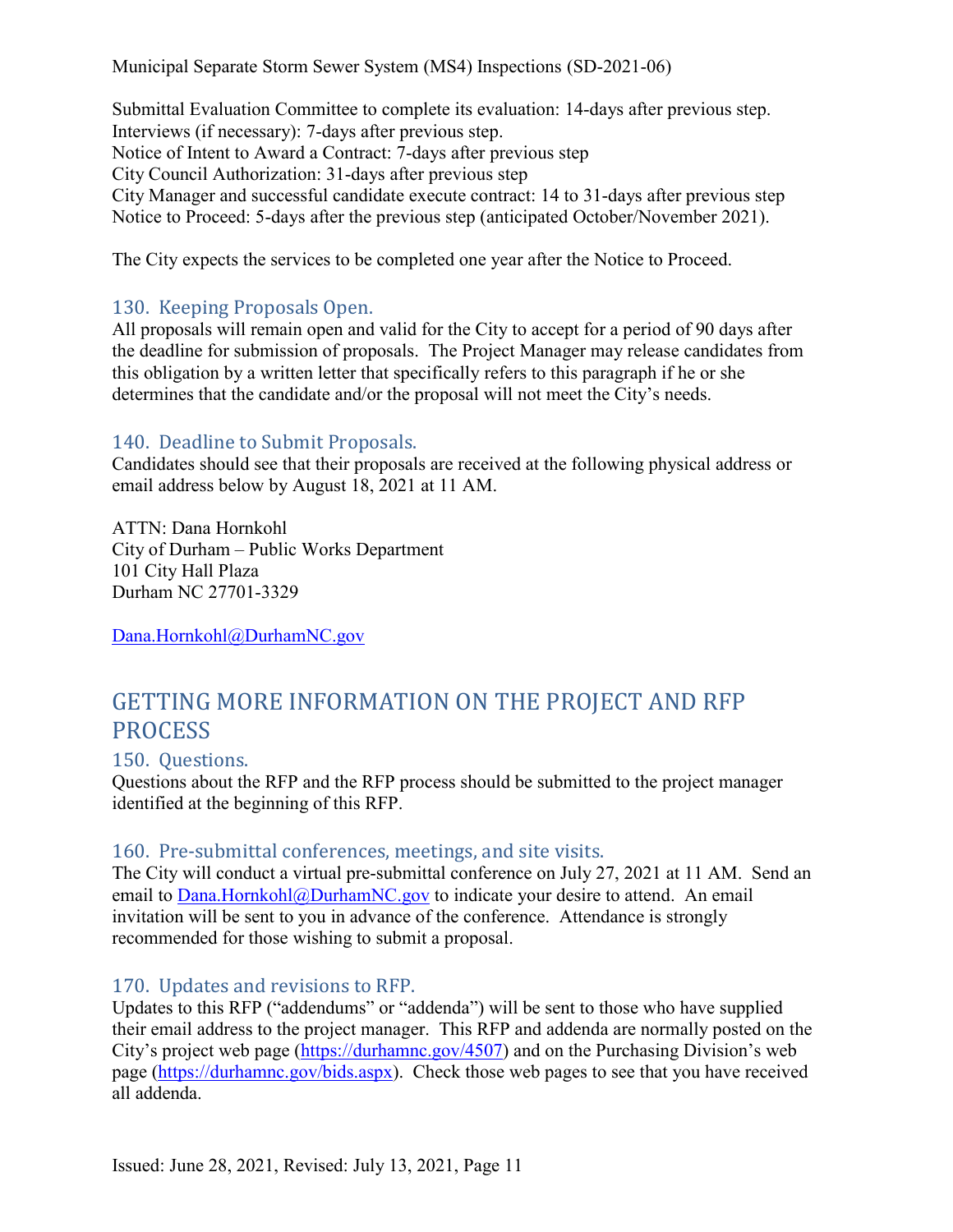Submittal Evaluation Committee to complete its evaluation: 14-days after previous step. Interviews (if necessary): 7-days after previous step. Notice of Intent to Award a Contract: 7-days after previous step City Council Authorization: 31-days after previous step City Manager and successful candidate execute contract: 14 to 31-days after previous step Notice to Proceed: 5-days after the previous step (anticipated October/November 2021).

The City expects the services to be completed one year after the Notice to Proceed.

# <span id="page-11-0"></span>130. Keeping Proposals Open.

All proposals will remain open and valid for the City to accept for a period of 90 days after the deadline for submission of proposals. The Project Manager may release candidates from this obligation by a written letter that specifically refers to this paragraph if he or she determines that the candidate and/or the proposal will not meet the City's needs.

# <span id="page-11-1"></span>140. Deadline to Submit Proposals.

Candidates should see that their proposals are received at the following physical address or email address below by August 18, 2021 at 11 AM.

ATTN: Dana Hornkohl City of Durham – Public Works Department 101 City Hall Plaza Durham NC 27701-3329

[Dana.Hornkohl@DurhamNC.gov](mailto:Dana.Hornkohl@DurhamNC.gov)

# <span id="page-11-2"></span>GETTING MORE INFORMATION ON THE PROJECT AND RFP **PROCESS**

#### <span id="page-11-3"></span>150. Questions.

Questions about the RFP and the RFP process should be submitted to the project manager identified at the beginning of this RFP.

#### <span id="page-11-4"></span>160. Pre-submittal conferences, meetings, and site visits.

The City will conduct a virtual pre-submittal conference on July 27, 2021 at 11 AM. Send an email to [Dana.Hornkohl@DurhamNC.gov](mailto:Dana.Hornkohl@DurhamNC.gov) to indicate your desire to attend. An email invitation will be sent to you in advance of the conference. Attendance is strongly recommended for those wishing to submit a proposal.

#### <span id="page-11-5"></span>170. Updates and revisions to RFP.

Updates to this RFP ("addendums" or "addenda") will be sent to those who have supplied their email address to the project manager. This RFP and addenda are normally posted on the City's project web page [\(https://durhamnc.gov/4507\)](https://durhamnc.gov/4507) and on the Purchasing Division's web page [\(https://durhamnc.gov/bids.aspx\)](https://durhamnc.gov/bids.aspx). Check those web pages to see that you have received all addenda.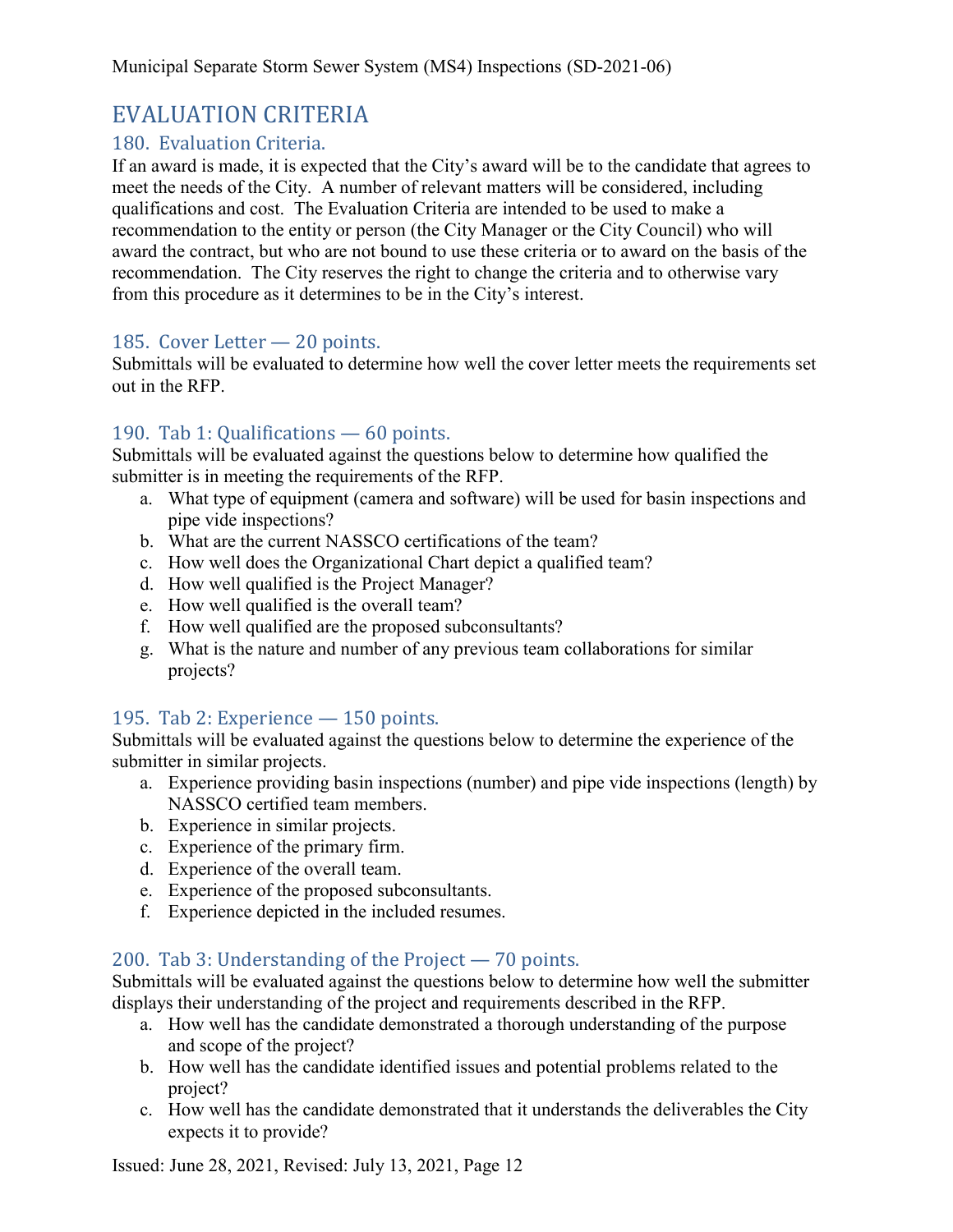# <span id="page-12-0"></span>EVALUATION CRITERIA

# <span id="page-12-1"></span>180. Evaluation Criteria.

If an award is made, it is expected that the City's award will be to the candidate that agrees to meet the needs of the City. A number of relevant matters will be considered, including qualifications and cost. The Evaluation Criteria are intended to be used to make a recommendation to the entity or person (the City Manager or the City Council) who will award the contract, but who are not bound to use these criteria or to award on the basis of the recommendation. The City reserves the right to change the criteria and to otherwise vary from this procedure as it determines to be in the City's interest.

## <span id="page-12-2"></span>185. Cover Letter — 20 points.

Submittals will be evaluated to determine how well the cover letter meets the requirements set out in the RFP.

## <span id="page-12-3"></span>190. Tab 1: Qualifications — 60 points.

Submittals will be evaluated against the questions below to determine how qualified the submitter is in meeting the requirements of the RFP.

- a. What type of equipment (camera and software) will be used for basin inspections and pipe vide inspections?
- b. What are the current NASSCO certifications of the team?
- c. How well does the Organizational Chart depict a qualified team?
- d. How well qualified is the Project Manager?
- e. How well qualified is the overall team?
- f. How well qualified are the proposed subconsultants?
- g. What is the nature and number of any previous team collaborations for similar projects?

# <span id="page-12-4"></span>195. Tab 2: Experience — 150 points.

Submittals will be evaluated against the questions below to determine the experience of the submitter in similar projects.

- a. Experience providing basin inspections (number) and pipe vide inspections (length) by NASSCO certified team members.
- b. Experience in similar projects.
- c. Experience of the primary firm.
- d. Experience of the overall team.
- e. Experience of the proposed subconsultants.
- f. Experience depicted in the included resumes.

# <span id="page-12-5"></span>200. Tab 3: Understanding of the Project — 70 points.

Submittals will be evaluated against the questions below to determine how well the submitter displays their understanding of the project and requirements described in the RFP.

- a. How well has the candidate demonstrated a thorough understanding of the purpose and scope of the project?
- b. How well has the candidate identified issues and potential problems related to the project?
- c. How well has the candidate demonstrated that it understands the deliverables the City expects it to provide?

Issued: June 28, 2021, Revised: July 13, 2021, Page 12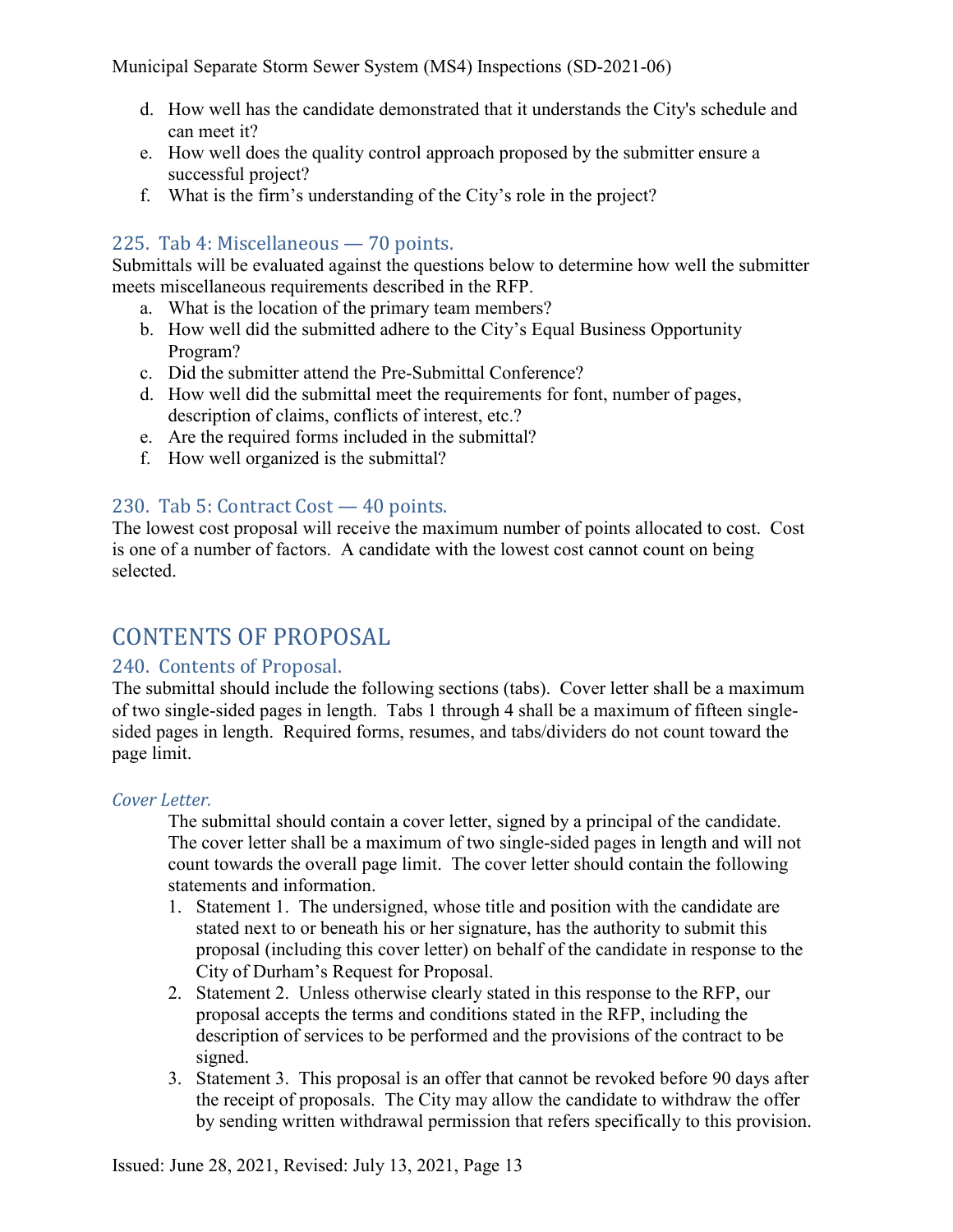- d. How well has the candidate demonstrated that it understands the City's schedule and can meet it?
- e. How well does the quality control approach proposed by the submitter ensure a successful project?
- f. What is the firm's understanding of the City's role in the project?

# <span id="page-13-0"></span>225. Tab 4: Miscellaneous — 70 points.

Submittals will be evaluated against the questions below to determine how well the submitter meets miscellaneous requirements described in the RFP.

- a. What is the location of the primary team members?
- b. How well did the submitted adhere to the City's Equal Business Opportunity Program?
- c. Did the submitter attend the Pre-Submittal Conference?
- d. How well did the submittal meet the requirements for font, number of pages, description of claims, conflicts of interest, etc.?
- e. Are the required forms included in the submittal?
- f. How well organized is the submittal?

# <span id="page-13-1"></span>230. Tab 5: Contract Cost — 40 points.

The lowest cost proposal will receive the maximum number of points allocated to cost. Cost is one of a number of factors. A candidate with the lowest cost cannot count on being selected.

# <span id="page-13-2"></span>CONTENTS OF PROPOSAL

#### <span id="page-13-3"></span>240. Contents of Proposal.

The submittal should include the following sections (tabs). Cover letter shall be a maximum of two single-sided pages in length. Tabs 1 through 4 shall be a maximum of fifteen singlesided pages in length. Required forms, resumes, and tabs/dividers do not count toward the page limit.

#### *Cover Letter.*

The submittal should contain a cover letter, signed by a principal of the candidate. The cover letter shall be a maximum of two single-sided pages in length and will not count towards the overall page limit. The cover letter should contain the following statements and information.

- 1. Statement 1. The undersigned, whose title and position with the candidate are stated next to or beneath his or her signature, has the authority to submit this proposal (including this cover letter) on behalf of the candidate in response to the City of Durham's Request for Proposal.
- 2. Statement 2. Unless otherwise clearly stated in this response to the RFP, our proposal accepts the terms and conditions stated in the RFP, including the description of services to be performed and the provisions of the contract to be signed.
- 3. Statement 3. This proposal is an offer that cannot be revoked before 90 days after the receipt of proposals. The City may allow the candidate to withdraw the offer by sending written withdrawal permission that refers specifically to this provision.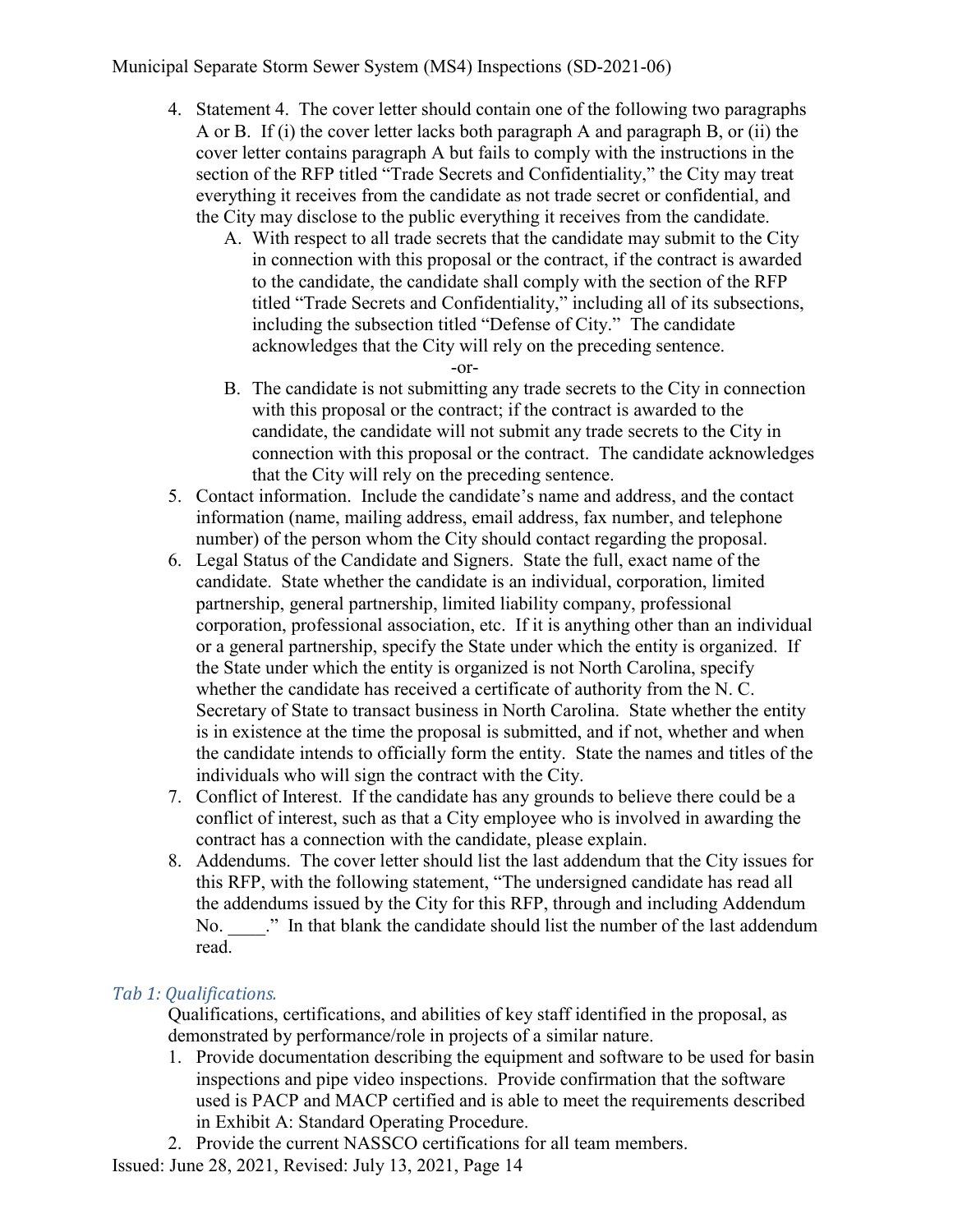- 4. Statement 4. The cover letter should contain one of the following two paragraphs A or B. If (i) the cover letter lacks both paragraph A and paragraph B, or (ii) the cover letter contains paragraph A but fails to comply with the instructions in the section of the RFP titled "Trade Secrets and Confidentiality," the City may treat everything it receives from the candidate as not trade secret or confidential, and the City may disclose to the public everything it receives from the candidate.
	- A. With respect to all trade secrets that the candidate may submit to the City in connection with this proposal or the contract, if the contract is awarded to the candidate, the candidate shall comply with the section of the RFP titled "Trade Secrets and Confidentiality," including all of its subsections, including the subsection titled "Defense of City." The candidate acknowledges that the City will rely on the preceding sentence.
		- -or-
	- B. The candidate is not submitting any trade secrets to the City in connection with this proposal or the contract; if the contract is awarded to the candidate, the candidate will not submit any trade secrets to the City in connection with this proposal or the contract. The candidate acknowledges that the City will rely on the preceding sentence.
- 5. Contact information. Include the candidate's name and address, and the contact information (name, mailing address, email address, fax number, and telephone number) of the person whom the City should contact regarding the proposal.
- 6. Legal Status of the Candidate and Signers. State the full, exact name of the candidate. State whether the candidate is an individual, corporation, limited partnership, general partnership, limited liability company, professional corporation, professional association, etc. If it is anything other than an individual or a general partnership, specify the State under which the entity is organized. If the State under which the entity is organized is not North Carolina, specify whether the candidate has received a certificate of authority from the N. C. Secretary of State to transact business in North Carolina. State whether the entity is in existence at the time the proposal is submitted, and if not, whether and when the candidate intends to officially form the entity. State the names and titles of the individuals who will sign the contract with the City.
- 7. Conflict of Interest. If the candidate has any grounds to believe there could be a conflict of interest, such as that a City employee who is involved in awarding the contract has a connection with the candidate, please explain.
- 8. Addendums. The cover letter should list the last addendum that the City issues for this RFP, with the following statement, "The undersigned candidate has read all the addendums issued by the City for this RFP, through and including Addendum No.  $\therefore$  " In that blank the candidate should list the number of the last addendum read.

# *Tab 1: Qualifications.*

Qualifications, certifications, and abilities of key staff identified in the proposal, as demonstrated by performance/role in projects of a similar nature.

- 1. Provide documentation describing the equipment and software to be used for basin inspections and pipe video inspections. Provide confirmation that the software used is PACP and MACP certified and is able to meet the requirements described in Exhibit A: Standard Operating Procedure.
- 2. Provide the current NASSCO certifications for all team members.

Issued: June 28, 2021, Revised: July 13, 2021, Page 14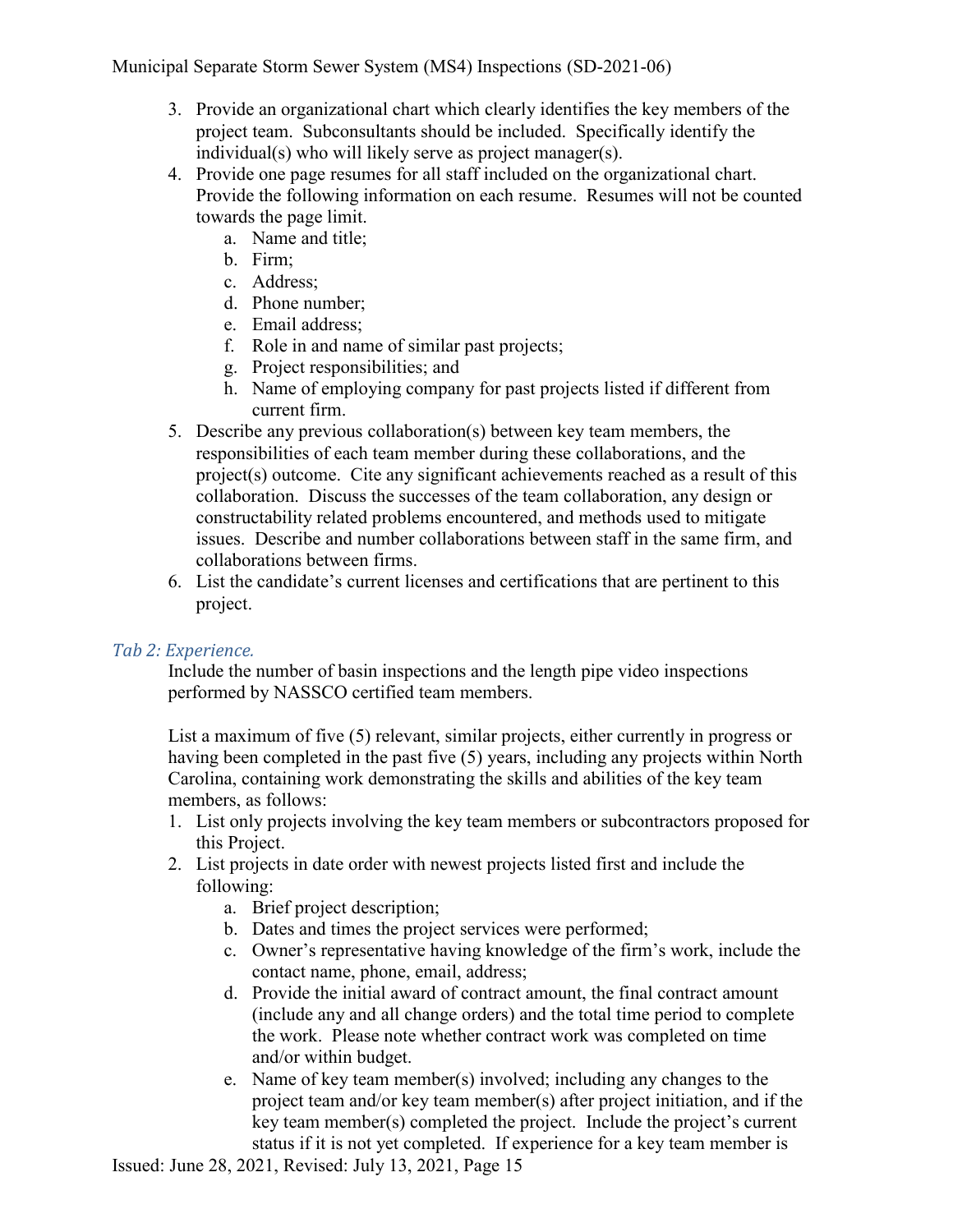- 3. Provide an organizational chart which clearly identifies the key members of the project team. Subconsultants should be included. Specifically identify the individual(s) who will likely serve as project manager(s).
- 4. Provide one page resumes for all staff included on the organizational chart. Provide the following information on each resume. Resumes will not be counted towards the page limit.
	- a. Name and title;
	- b. Firm;
	- c. Address;
	- d. Phone number;
	- e. Email address;
	- f. Role in and name of similar past projects;
	- g. Project responsibilities; and
	- h. Name of employing company for past projects listed if different from current firm.
- 5. Describe any previous collaboration(s) between key team members, the responsibilities of each team member during these collaborations, and the project(s) outcome. Cite any significant achievements reached as a result of this collaboration. Discuss the successes of the team collaboration, any design or constructability related problems encountered, and methods used to mitigate issues. Describe and number collaborations between staff in the same firm, and collaborations between firms.
- 6. List the candidate's current licenses and certifications that are pertinent to this project.

#### *Tab 2: Experience.*

Include the number of basin inspections and the length pipe video inspections performed by NASSCO certified team members.

List a maximum of five (5) relevant, similar projects, either currently in progress or having been completed in the past five (5) years, including any projects within North Carolina, containing work demonstrating the skills and abilities of the key team members, as follows:

- 1. List only projects involving the key team members or subcontractors proposed for this Project.
- 2. List projects in date order with newest projects listed first and include the following:
	- a. Brief project description;
	- b. Dates and times the project services were performed;
	- c. Owner's representative having knowledge of the firm's work, include the contact name, phone, email, address;
	- d. Provide the initial award of contract amount, the final contract amount (include any and all change orders) and the total time period to complete the work. Please note whether contract work was completed on time and/or within budget.
	- e. Name of key team member(s) involved; including any changes to the project team and/or key team member(s) after project initiation, and if the key team member(s) completed the project. Include the project's current status if it is not yet completed. If experience for a key team member is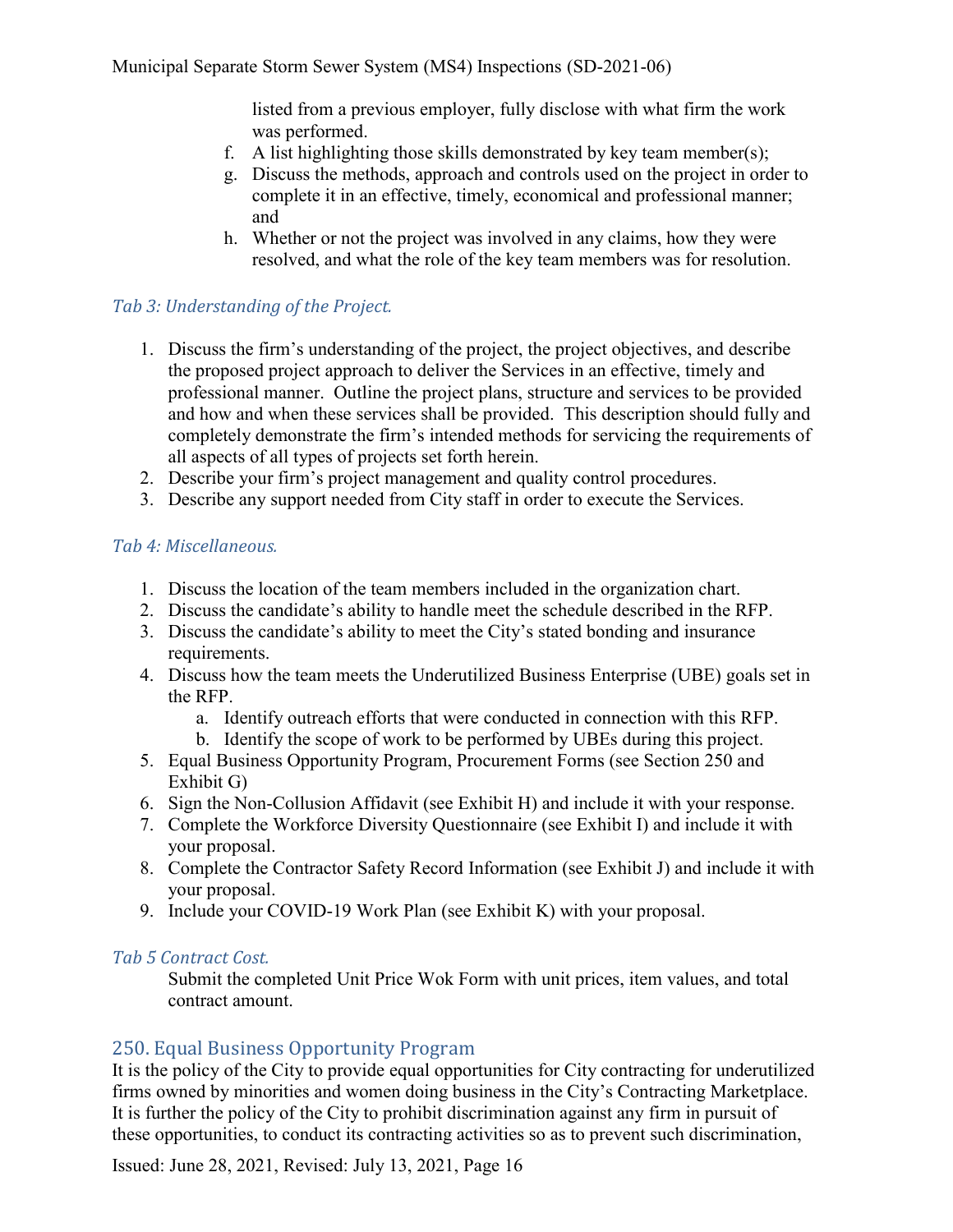listed from a previous employer, fully disclose with what firm the work was performed.

- f. A list highlighting those skills demonstrated by key team member(s);
- g. Discuss the methods, approach and controls used on the project in order to complete it in an effective, timely, economical and professional manner; and
- h. Whether or not the project was involved in any claims, how they were resolved, and what the role of the key team members was for resolution.

#### *Tab 3: Understanding of the Project.*

- 1. Discuss the firm's understanding of the project, the project objectives, and describe the proposed project approach to deliver the Services in an effective, timely and professional manner. Outline the project plans, structure and services to be provided and how and when these services shall be provided. This description should fully and completely demonstrate the firm's intended methods for servicing the requirements of all aspects of all types of projects set forth herein.
- 2. Describe your firm's project management and quality control procedures.
- 3. Describe any support needed from City staff in order to execute the Services.

#### *Tab 4: Miscellaneous.*

- 1. Discuss the location of the team members included in the organization chart.
- 2. Discuss the candidate's ability to handle meet the schedule described in the RFP.
- 3. Discuss the candidate's ability to meet the City's stated bonding and insurance requirements.
- 4. Discuss how the team meets the Underutilized Business Enterprise (UBE) goals set in the RFP.
	- a. Identify outreach efforts that were conducted in connection with this RFP.
	- b. Identify the scope of work to be performed by UBEs during this project.
- 5. Equal Business Opportunity Program, Procurement Forms (see Section 250 and Exhibit G)
- 6. Sign the Non-Collusion Affidavit (see Exhibit H) and include it with your response.
- 7. Complete the Workforce Diversity Questionnaire (see Exhibit I) and include it with your proposal.
- 8. Complete the Contractor Safety Record Information (see Exhibit J) and include it with your proposal.
- 9. Include your COVID-19 Work Plan (see Exhibit K) with your proposal.

#### *Tab 5 Contract Cost.*

Submit the completed Unit Price Wok Form with unit prices, item values, and total contract amount.

#### <span id="page-16-0"></span>250. Equal Business Opportunity Program

It is the policy of the City to provide equal opportunities for City contracting for underutilized firms owned by minorities and women doing business in the City's Contracting Marketplace. It is further the policy of the City to prohibit discrimination against any firm in pursuit of these opportunities, to conduct its contracting activities so as to prevent such discrimination,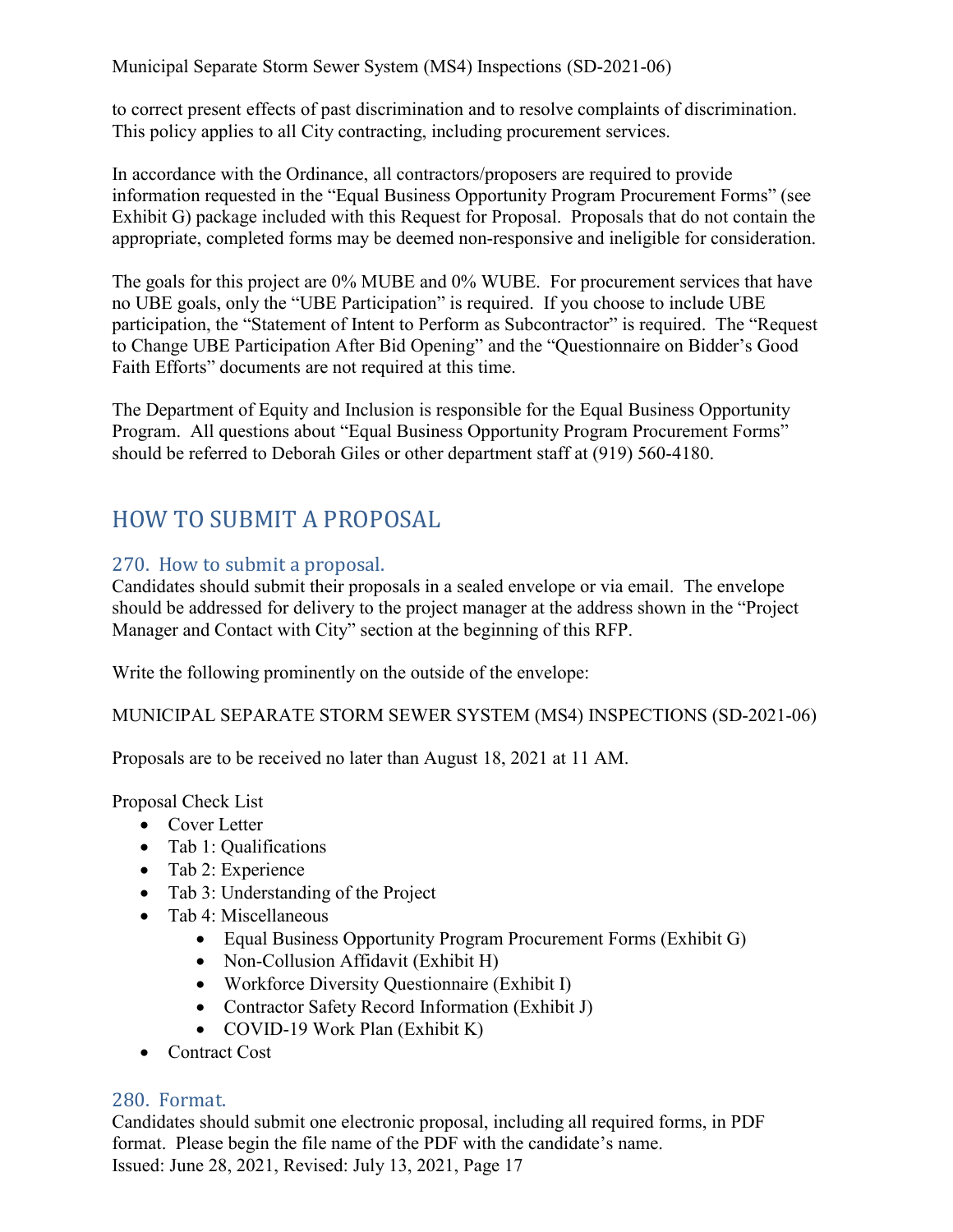to correct present effects of past discrimination and to resolve complaints of discrimination. This policy applies to all City contracting, including procurement services.

In accordance with the Ordinance, all contractors/proposers are required to provide information requested in the "Equal Business Opportunity Program Procurement Forms" (see Exhibit G) package included with this Request for Proposal. Proposals that do not contain the appropriate, completed forms may be deemed non-responsive and ineligible for consideration.

The goals for this project are 0% MUBE and 0% WUBE. For procurement services that have no UBE goals, only the "UBE Participation" is required. If you choose to include UBE participation, the "Statement of Intent to Perform as Subcontractor" is required. The "Request to Change UBE Participation After Bid Opening" and the "Questionnaire on Bidder's Good Faith Efforts" documents are not required at this time.

The Department of Equity and Inclusion is responsible for the Equal Business Opportunity Program. All questions about "Equal Business Opportunity Program Procurement Forms" should be referred to Deborah Giles or other department staff at (919) 560-4180.

# <span id="page-17-0"></span>HOW TO SUBMIT A PROPOSAL

# <span id="page-17-1"></span>270. How to submit a proposal.

Candidates should submit their proposals in a sealed envelope or via email. The envelope should be addressed for delivery to the project manager at the address shown in the "Project Manager and Contact with City" section at the beginning of this RFP.

Write the following prominently on the outside of the envelope:

MUNICIPAL SEPARATE STORM SEWER SYSTEM (MS4) INSPECTIONS (SD-2021-06)

Proposals are to be received no later than August 18, 2021 at 11 AM.

Proposal Check List

- Cover Letter
- Tab 1: Qualifications
- Tab 2: Experience
- Tab 3: Understanding of the Project
- Tab 4: Miscellaneous
	- Equal Business Opportunity Program Procurement Forms (Exhibit G)
	- Non-Collusion Affidavit (Exhibit H)
	- Workforce Diversity Questionnaire (Exhibit I)
	- Contractor Safety Record Information (Exhibit J)
	- COVID-19 Work Plan (Exhibit K)
- Contract Cost

#### <span id="page-17-2"></span>280. Format.

Issued: June 28, 2021, Revised: July 13, 2021, Page 17 Candidates should submit one electronic proposal, including all required forms, in PDF format. Please begin the file name of the PDF with the candidate's name.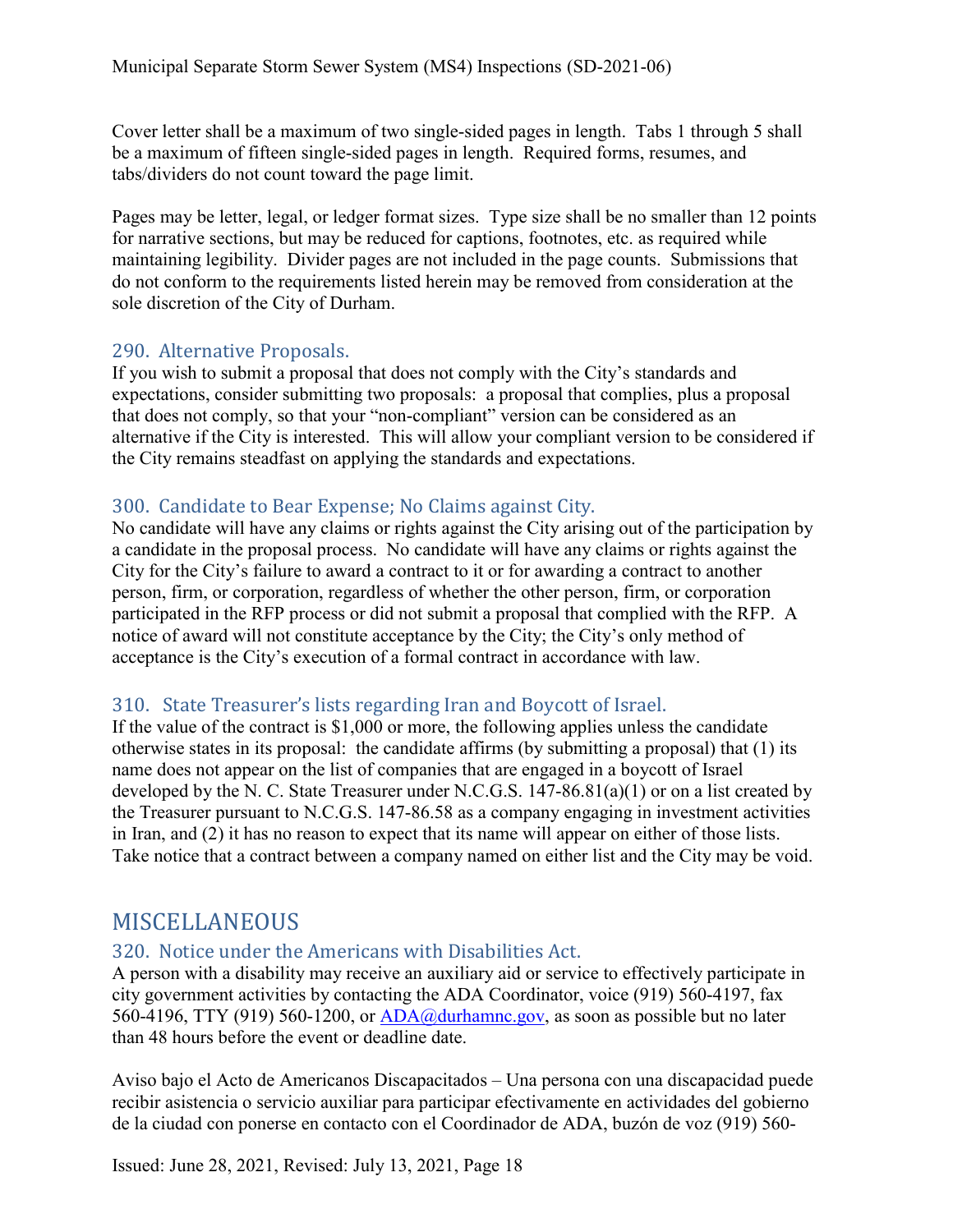Cover letter shall be a maximum of two single-sided pages in length. Tabs 1 through 5 shall be a maximum of fifteen single-sided pages in length. Required forms, resumes, and tabs/dividers do not count toward the page limit.

Pages may be letter, legal, or ledger format sizes. Type size shall be no smaller than 12 points for narrative sections, but may be reduced for captions, footnotes, etc. as required while maintaining legibility. Divider pages are not included in the page counts. Submissions that do not conform to the requirements listed herein may be removed from consideration at the sole discretion of the City of Durham.

#### <span id="page-18-0"></span>290. Alternative Proposals.

If you wish to submit a proposal that does not comply with the City's standards and expectations, consider submitting two proposals: a proposal that complies, plus a proposal that does not comply, so that your "non-compliant" version can be considered as an alternative if the City is interested. This will allow your compliant version to be considered if the City remains steadfast on applying the standards and expectations.

## <span id="page-18-1"></span>300. Candidate to Bear Expense; No Claims against City.

No candidate will have any claims or rights against the City arising out of the participation by a candidate in the proposal process. No candidate will have any claims or rights against the City for the City's failure to award a contract to it or for awarding a contract to another person, firm, or corporation, regardless of whether the other person, firm, or corporation participated in the RFP process or did not submit a proposal that complied with the RFP. A notice of award will not constitute acceptance by the City; the City's only method of acceptance is the City's execution of a formal contract in accordance with law.

# <span id="page-18-2"></span>310. State Treasurer's lists regarding Iran and Boycott of Israel.

If the value of the contract is \$1,000 or more, the following applies unless the candidate otherwise states in its proposal: the candidate affirms (by submitting a proposal) that (1) its name does not appear on the list of companies that are engaged in a boycott of Israel developed by the N. C. State Treasurer under N.C.G.S. 147-86.81(a)(1) or on a list created by the Treasurer pursuant to N.C.G.S. 147-86.58 as a company engaging in investment activities in Iran, and (2) it has no reason to expect that its name will appear on either of those lists. Take notice that a contract between a company named on either list and the City may be void.

# <span id="page-18-3"></span>MISCELLANEOUS

#### <span id="page-18-4"></span>320. Notice under the Americans with Disabilities Act.

A person with a disability may receive an auxiliary aid or service to effectively participate in city government activities by contacting the ADA Coordinator, voice (919) 560-4197, fax 560-4196, TTY (919) 560-1200, or [ADA@durhamnc.gov,](mailto:ADA@durhamnc.gov) as soon as possible but no later than 48 hours before the event or deadline date.

Aviso bajo el Acto de Americanos Discapacitados – Una persona con una discapacidad puede recibir asistencia o servicio auxiliar para participar efectivamente en actividades del gobierno de la ciudad con ponerse en contacto con el Coordinador de ADA, buzón de voz (919) 560-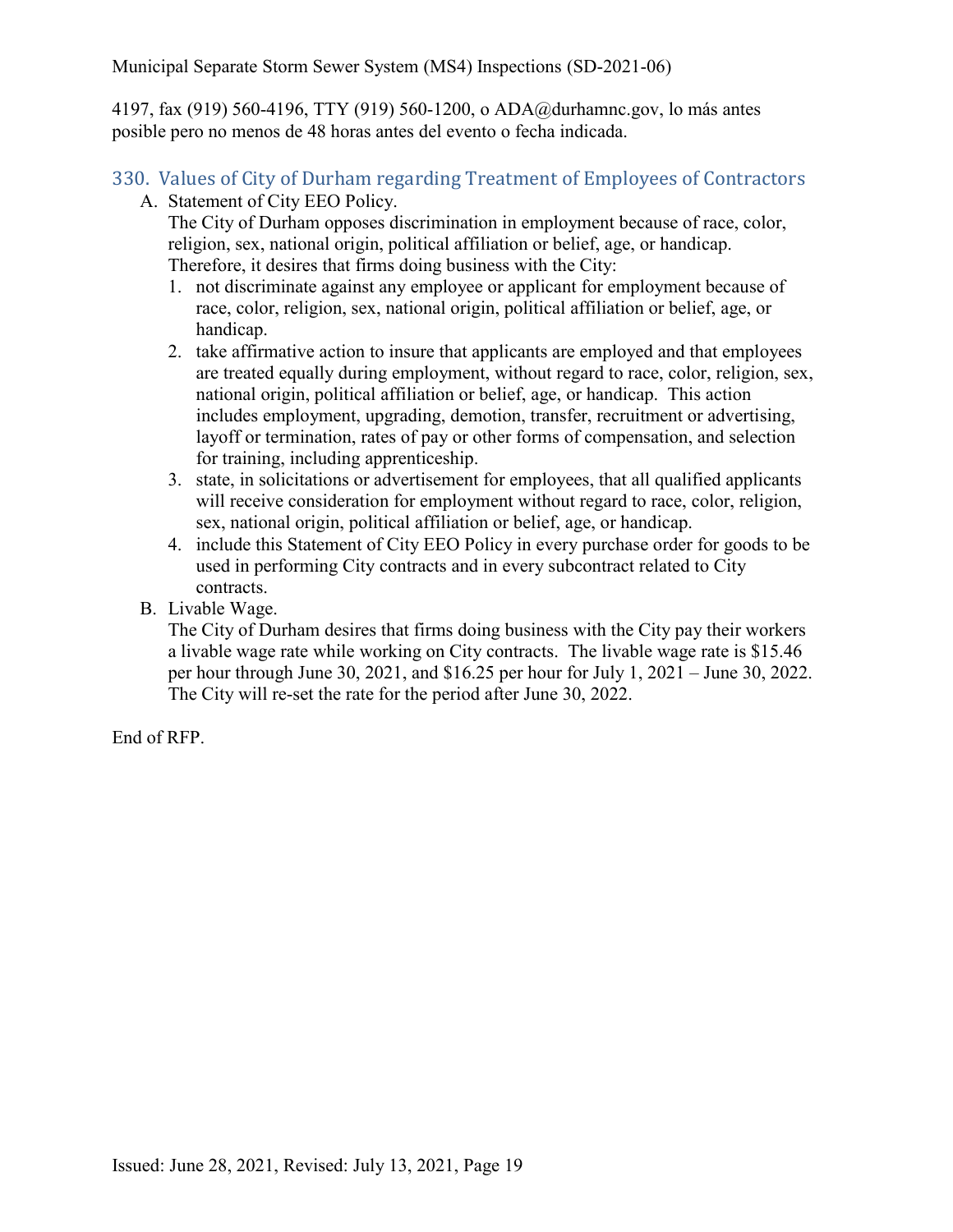4197, fax (919) 560-4196, TTY (919) 560-1200, o ADA@durhamnc.gov, lo más antes posible pero no menos de 48 horas antes del evento o fecha indicada.

#### <span id="page-19-0"></span>330. Values of City of Durham regarding Treatment of Employees of Contractors A. Statement of City EEO Policy.

The City of Durham opposes discrimination in employment because of race, color, religion, sex, national origin, political affiliation or belief, age, or handicap. Therefore, it desires that firms doing business with the City:

- 1. not discriminate against any employee or applicant for employment because of race, color, religion, sex, national origin, political affiliation or belief, age, or handicap.
- 2. take affirmative action to insure that applicants are employed and that employees are treated equally during employment, without regard to race, color, religion, sex, national origin, political affiliation or belief, age, or handicap. This action includes employment, upgrading, demotion, transfer, recruitment or advertising, layoff or termination, rates of pay or other forms of compensation, and selection for training, including apprenticeship.
- 3. state, in solicitations or advertisement for employees, that all qualified applicants will receive consideration for employment without regard to race, color, religion, sex, national origin, political affiliation or belief, age, or handicap.
- 4. include this Statement of City EEO Policy in every purchase order for goods to be used in performing City contracts and in every subcontract related to City contracts.
- B. Livable Wage.

The City of Durham desires that firms doing business with the City pay their workers a livable wage rate while working on City contracts. The livable wage rate is \$15.46 per hour through June 30, 2021, and \$16.25 per hour for July 1, 2021 – June 30, 2022. The City will re-set the rate for the period after June 30, 2022.

End of RFP.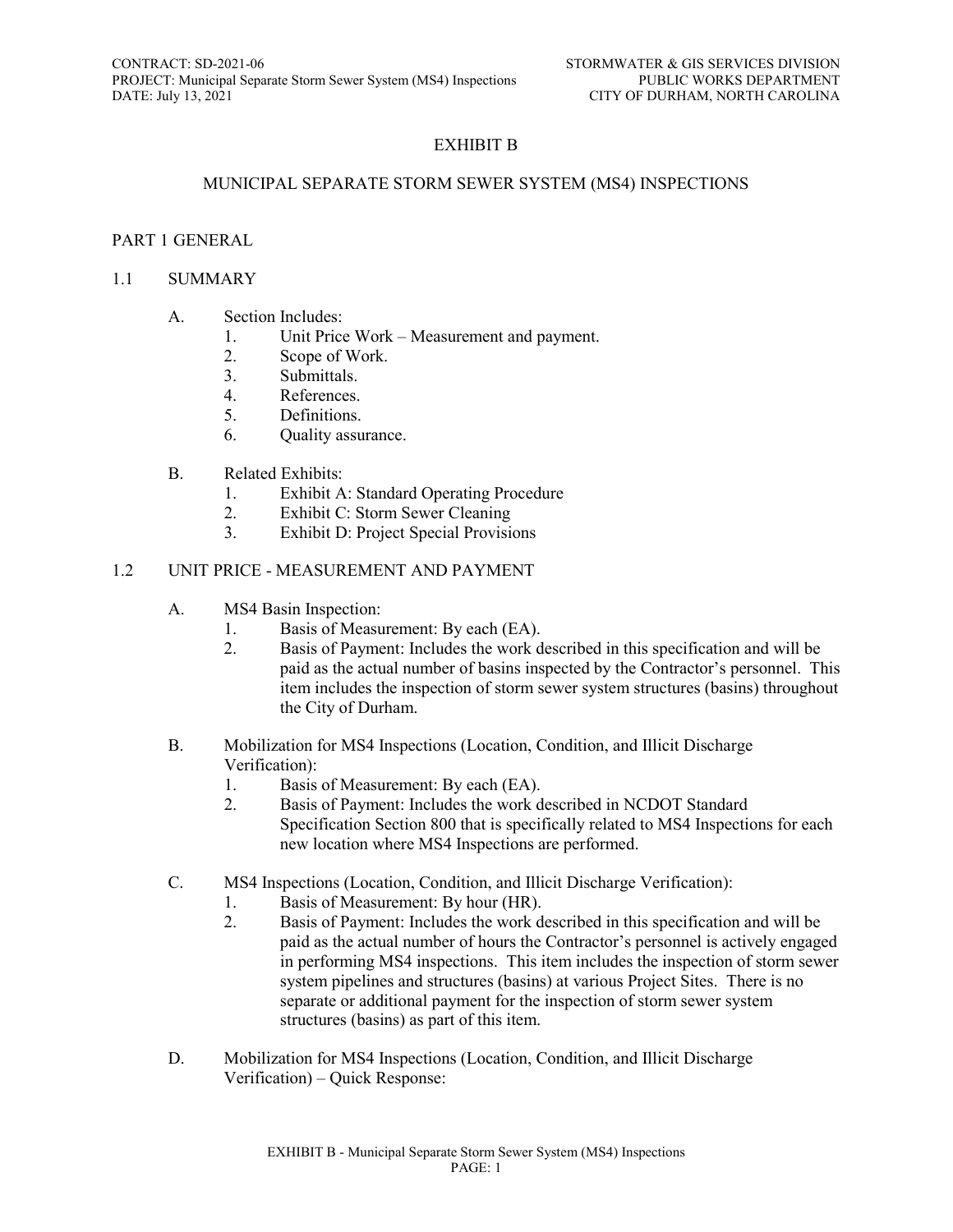#### EXHIBIT B

#### MUNICIPAL SEPARATE STORM SEWER SYSTEM (MS4) INSPECTIONS

#### PART 1 GENERAL

#### 1.1 SUMMARY

- A. Section Includes:
	- 1. Unit Price Work Measurement and payment.
	- 2. Scope of Work.
	- 3. Submittals.
	- 4. References.
	- 5. Definitions.
	- 6. Quality assurance.
- B. Related Exhibits:
	- 1. Exhibit A: Standard Operating Procedure
	- 2. Exhibit C: Storm Sewer Cleaning
	- 3. Exhibit D: Project Special Provisions

#### 1.2 UNIT PRICE - MEASUREMENT AND PAYMENT

- A. MS4 Basin Inspection:
	- 1. Basis of Measurement: By each (EA).
	- 2. Basis of Payment: Includes the work described in this specification and will be paid as the actual number of basins inspected by the Contractor's personnel. This item includes the inspection of storm sewer system structures (basins) throughout the City of Durham.
- B. Mobilization for MS4 Inspections (Location, Condition, and Illicit Discharge Verification):
	- 1. Basis of Measurement: By each (EA).
	- 2. Basis of Payment: Includes the work described in NCDOT Standard Specification Section 800 that is specifically related to MS4 Inspections for each new location where MS4 Inspections are performed.
- C. MS4 Inspections (Location, Condition, and Illicit Discharge Verification):
	- 1. Basis of Measurement: By hour (HR).
	- 2. Basis of Payment: Includes the work described in this specification and will be paid as the actual number of hours the Contractor's personnel is actively engaged in performing MS4 inspections. This item includes the inspection of storm sewer system pipelines and structures (basins) at various Project Sites. There is no separate or additional payment for the inspection of storm sewer system structures (basins) as part of this item.
- D. Mobilization for MS4 Inspections (Location, Condition, and Illicit Discharge Verification) – Quick Response: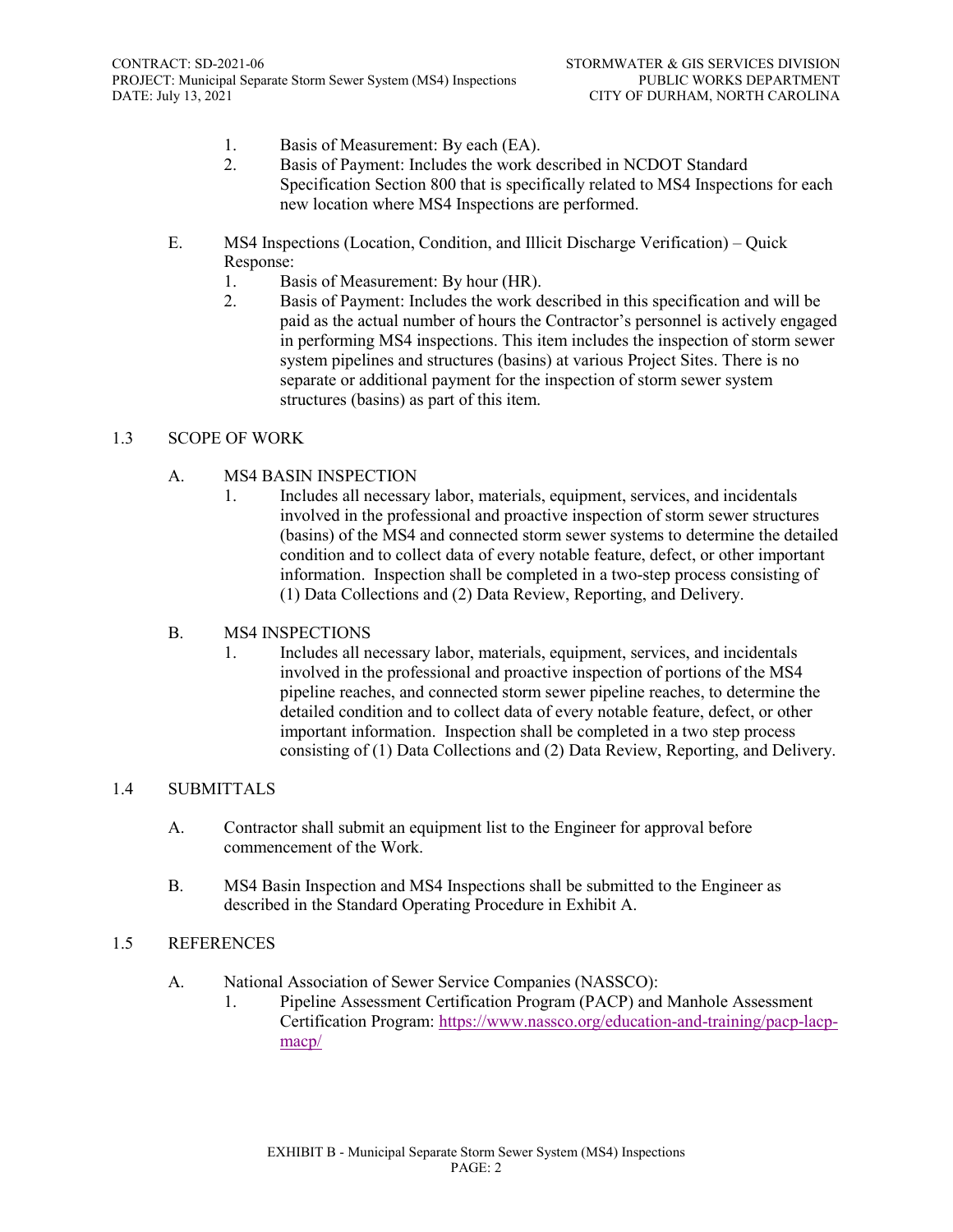- 1. Basis of Measurement: By each (EA).
- 2. Basis of Payment: Includes the work described in NCDOT Standard Specification Section 800 that is specifically related to MS4 Inspections for each new location where MS4 Inspections are performed.
- E. MS4 Inspections (Location, Condition, and Illicit Discharge Verification) Quick Response:
	- 1. Basis of Measurement: By hour (HR).
	- 2. Basis of Payment: Includes the work described in this specification and will be paid as the actual number of hours the Contractor's personnel is actively engaged in performing MS4 inspections. This item includes the inspection of storm sewer system pipelines and structures (basins) at various Project Sites. There is no separate or additional payment for the inspection of storm sewer system structures (basins) as part of this item.

#### 1.3 SCOPE OF WORK

- A. MS4 BASIN INSPECTION
	- 1. Includes all necessary labor, materials, equipment, services, and incidentals involved in the professional and proactive inspection of storm sewer structures (basins) of the MS4 and connected storm sewer systems to determine the detailed condition and to collect data of every notable feature, defect, or other important information. Inspection shall be completed in a two-step process consisting of (1) Data Collections and (2) Data Review, Reporting, and Delivery.

#### B. MS4 INSPECTIONS

1. Includes all necessary labor, materials, equipment, services, and incidentals involved in the professional and proactive inspection of portions of the MS4 pipeline reaches, and connected storm sewer pipeline reaches, to determine the detailed condition and to collect data of every notable feature, defect, or other important information. Inspection shall be completed in a two step process consisting of (1) Data Collections and (2) Data Review, Reporting, and Delivery.

#### 1.4 SUBMITTALS

- A. Contractor shall submit an equipment list to the Engineer for approval before commencement of the Work.
- B. MS4 Basin Inspection and MS4 Inspections shall be submitted to the Engineer as described in the Standard Operating Procedure in Exhibit A.

#### 1.5 REFERENCES

- A. National Association of Sewer Service Companies (NASSCO):
	- 1. Pipeline Assessment Certification Program (PACP) and Manhole Assessment Certification Program: [https://www.nassco.org/education-and-training/pacp-lacp](https://www.nassco.org/education-and-training/pacp-lacp-macp/)[macp/](https://www.nassco.org/education-and-training/pacp-lacp-macp/)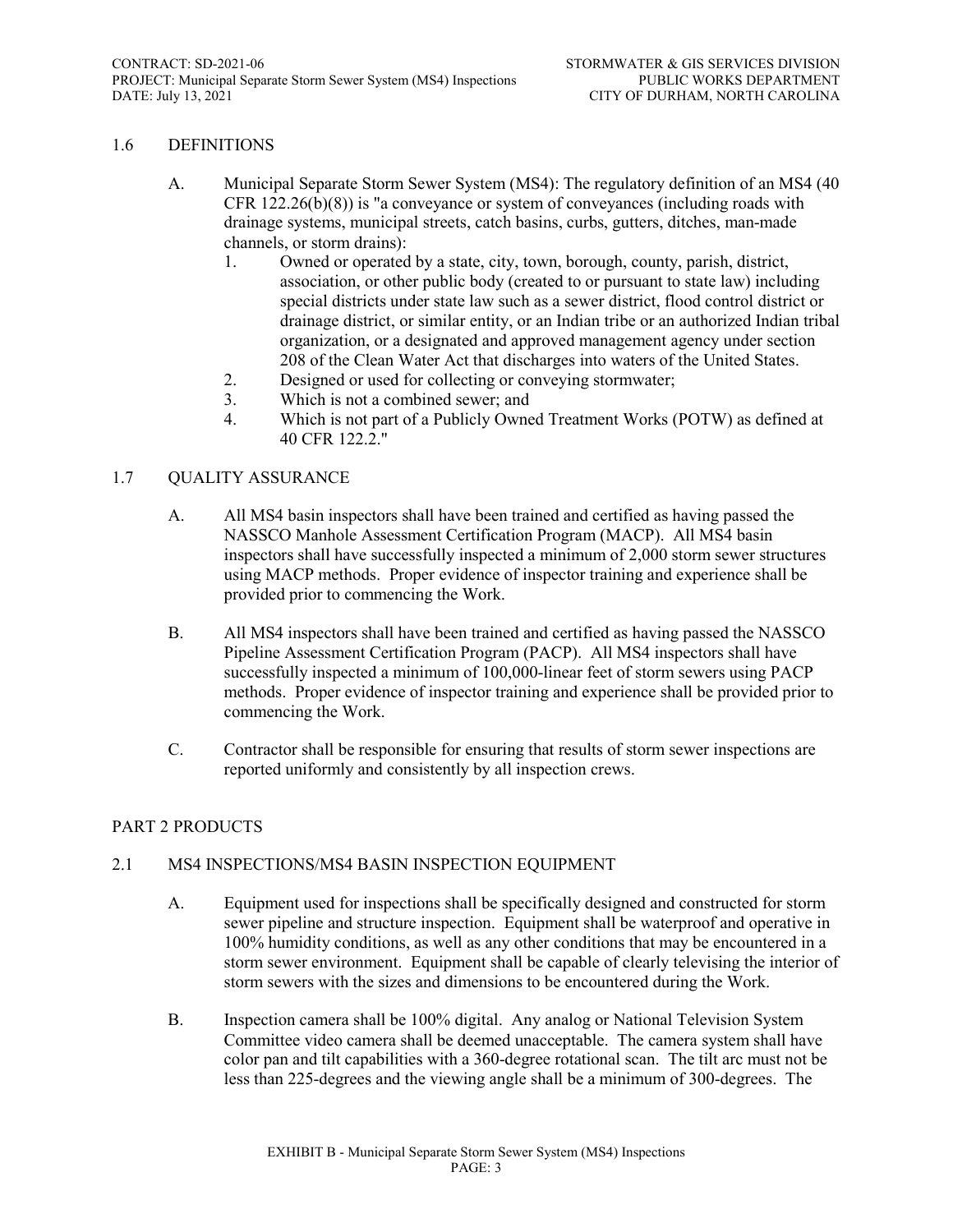#### 1.6 DEFINITIONS

- A. Municipal Separate Storm Sewer System (MS4): The regulatory definition of an MS4 (40 CFR  $122.26(b)(8)$ ) is "a conveyance or system of conveyances (including roads with drainage systems, municipal streets, catch basins, curbs, gutters, ditches, man-made channels, or storm drains):
	- 1. Owned or operated by a state, city, town, borough, county, parish, district, association, or other public body (created to or pursuant to state law) including special districts under state law such as a sewer district, flood control district or drainage district, or similar entity, or an Indian tribe or an authorized Indian tribal organization, or a designated and approved management agency under section 208 of the Clean Water Act that discharges into waters of the United States.
	- 2. Designed or used for collecting or conveying stormwater;
	- 3. Which is not a combined sewer; and
	- 4. Which is not part of a Publicly Owned Treatment Works (POTW) as defined at 40 CFR 122.2."

#### 1.7 QUALITY ASSURANCE

- A. All MS4 basin inspectors shall have been trained and certified as having passed the NASSCO Manhole Assessment Certification Program (MACP). All MS4 basin inspectors shall have successfully inspected a minimum of 2,000 storm sewer structures using MACP methods. Proper evidence of inspector training and experience shall be provided prior to commencing the Work.
- B. All MS4 inspectors shall have been trained and certified as having passed the NASSCO Pipeline Assessment Certification Program (PACP). All MS4 inspectors shall have successfully inspected a minimum of 100,000-linear feet of storm sewers using PACP methods. Proper evidence of inspector training and experience shall be provided prior to commencing the Work.
- C. Contractor shall be responsible for ensuring that results of storm sewer inspections are reported uniformly and consistently by all inspection crews.

#### PART 2 PRODUCTS

#### 2.1 MS4 INSPECTIONS/MS4 BASIN INSPECTION EQUIPMENT

- A. Equipment used for inspections shall be specifically designed and constructed for storm sewer pipeline and structure inspection. Equipment shall be waterproof and operative in 100% humidity conditions, as well as any other conditions that may be encountered in a storm sewer environment. Equipment shall be capable of clearly televising the interior of storm sewers with the sizes and dimensions to be encountered during the Work.
- B. Inspection camera shall be 100% digital. Any analog or National Television System Committee video camera shall be deemed unacceptable. The camera system shall have color pan and tilt capabilities with a 360-degree rotational scan. The tilt arc must not be less than 225-degrees and the viewing angle shall be a minimum of 300-degrees. The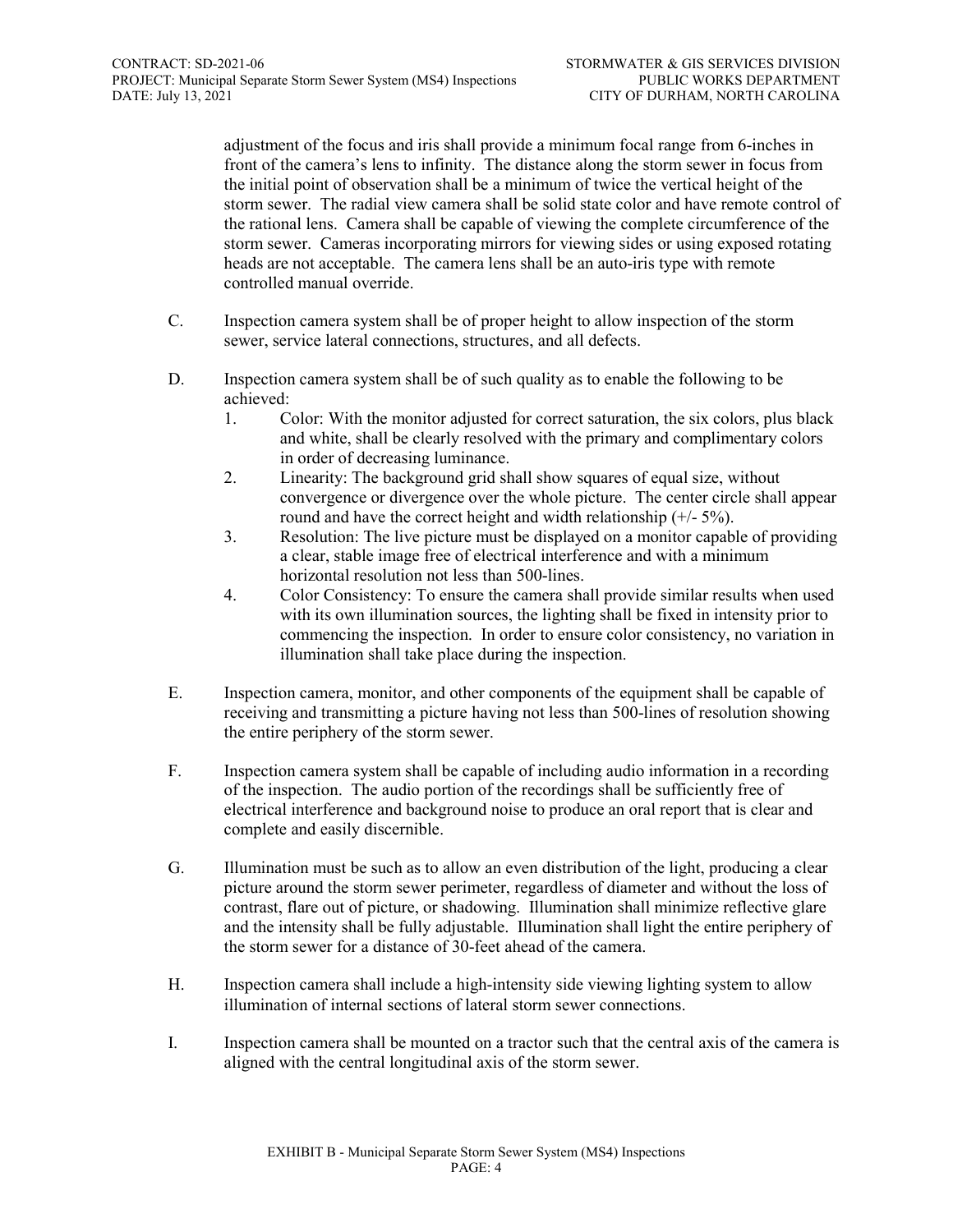adjustment of the focus and iris shall provide a minimum focal range from 6-inches in front of the camera's lens to infinity. The distance along the storm sewer in focus from the initial point of observation shall be a minimum of twice the vertical height of the storm sewer. The radial view camera shall be solid state color and have remote control of the rational lens. Camera shall be capable of viewing the complete circumference of the storm sewer. Cameras incorporating mirrors for viewing sides or using exposed rotating heads are not acceptable. The camera lens shall be an auto-iris type with remote controlled manual override.

- C. Inspection camera system shall be of proper height to allow inspection of the storm sewer, service lateral connections, structures, and all defects.
- D. Inspection camera system shall be of such quality as to enable the following to be achieved:
	- 1. Color: With the monitor adjusted for correct saturation, the six colors, plus black and white, shall be clearly resolved with the primary and complimentary colors in order of decreasing luminance.
	- 2. Linearity: The background grid shall show squares of equal size, without convergence or divergence over the whole picture. The center circle shall appear round and have the correct height and width relationship  $(+/-5%)$ .
	- 3. Resolution: The live picture must be displayed on a monitor capable of providing a clear, stable image free of electrical interference and with a minimum horizontal resolution not less than 500-lines.
	- 4. Color Consistency: To ensure the camera shall provide similar results when used with its own illumination sources, the lighting shall be fixed in intensity prior to commencing the inspection. In order to ensure color consistency, no variation in illumination shall take place during the inspection.
- E. Inspection camera, monitor, and other components of the equipment shall be capable of receiving and transmitting a picture having not less than 500-lines of resolution showing the entire periphery of the storm sewer.
- F. Inspection camera system shall be capable of including audio information in a recording of the inspection. The audio portion of the recordings shall be sufficiently free of electrical interference and background noise to produce an oral report that is clear and complete and easily discernible.
- G. Illumination must be such as to allow an even distribution of the light, producing a clear picture around the storm sewer perimeter, regardless of diameter and without the loss of contrast, flare out of picture, or shadowing. Illumination shall minimize reflective glare and the intensity shall be fully adjustable. Illumination shall light the entire periphery of the storm sewer for a distance of 30-feet ahead of the camera.
- H. Inspection camera shall include a high-intensity side viewing lighting system to allow illumination of internal sections of lateral storm sewer connections.
- I. Inspection camera shall be mounted on a tractor such that the central axis of the camera is aligned with the central longitudinal axis of the storm sewer.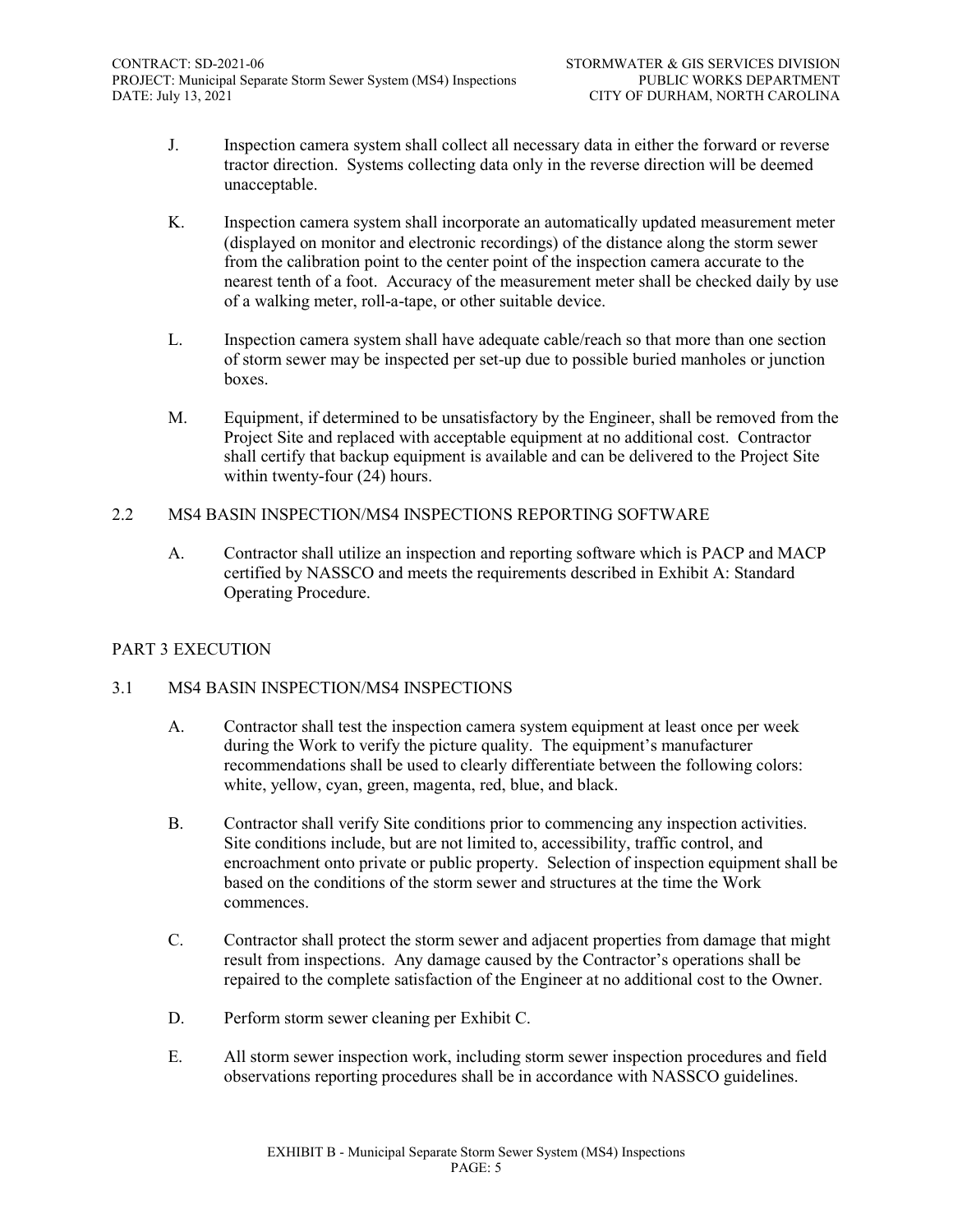- J. Inspection camera system shall collect all necessary data in either the forward or reverse tractor direction. Systems collecting data only in the reverse direction will be deemed unacceptable.
- K. Inspection camera system shall incorporate an automatically updated measurement meter (displayed on monitor and electronic recordings) of the distance along the storm sewer from the calibration point to the center point of the inspection camera accurate to the nearest tenth of a foot. Accuracy of the measurement meter shall be checked daily by use of a walking meter, roll-a-tape, or other suitable device.
- L. Inspection camera system shall have adequate cable/reach so that more than one section of storm sewer may be inspected per set-up due to possible buried manholes or junction boxes.
- M. Equipment, if determined to be unsatisfactory by the Engineer, shall be removed from the Project Site and replaced with acceptable equipment at no additional cost. Contractor shall certify that backup equipment is available and can be delivered to the Project Site within twenty-four (24) hours.

#### 2.2 MS4 BASIN INSPECTION/MS4 INSPECTIONS REPORTING SOFTWARE

A. Contractor shall utilize an inspection and reporting software which is PACP and MACP certified by NASSCO and meets the requirements described in Exhibit A: Standard Operating Procedure.

#### PART 3 EXECUTION

#### 3.1 MS4 BASIN INSPECTION/MS4 INSPECTIONS

- A. Contractor shall test the inspection camera system equipment at least once per week during the Work to verify the picture quality. The equipment's manufacturer recommendations shall be used to clearly differentiate between the following colors: white, yellow, cyan, green, magenta, red, blue, and black.
- B. Contractor shall verify Site conditions prior to commencing any inspection activities. Site conditions include, but are not limited to, accessibility, traffic control, and encroachment onto private or public property. Selection of inspection equipment shall be based on the conditions of the storm sewer and structures at the time the Work commences.
- C. Contractor shall protect the storm sewer and adjacent properties from damage that might result from inspections. Any damage caused by the Contractor's operations shall be repaired to the complete satisfaction of the Engineer at no additional cost to the Owner.
- D. Perform storm sewer cleaning per Exhibit C.
- E. All storm sewer inspection work, including storm sewer inspection procedures and field observations reporting procedures shall be in accordance with NASSCO guidelines.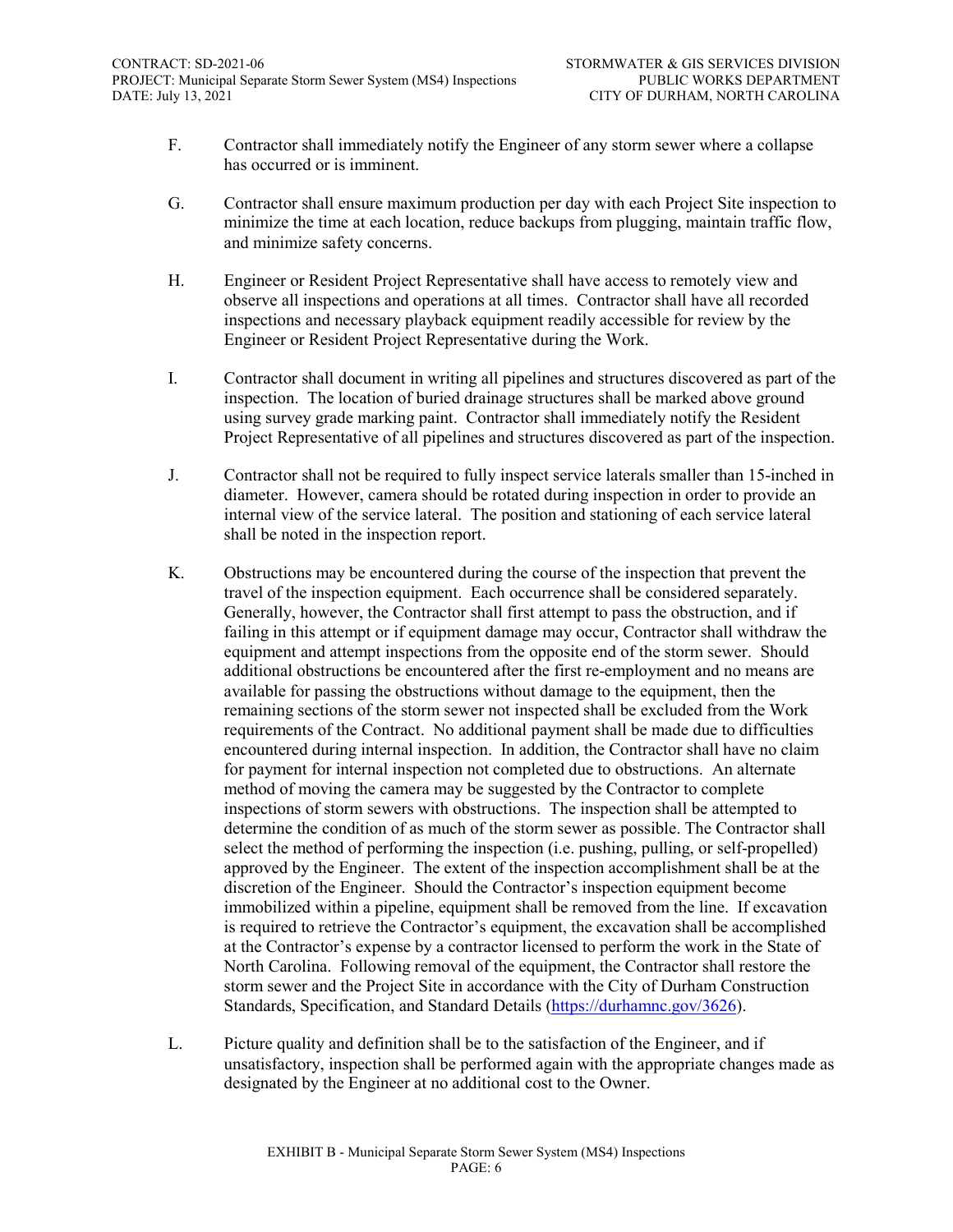- F. Contractor shall immediately notify the Engineer of any storm sewer where a collapse has occurred or is imminent.
- G. Contractor shall ensure maximum production per day with each Project Site inspection to minimize the time at each location, reduce backups from plugging, maintain traffic flow, and minimize safety concerns.
- H. Engineer or Resident Project Representative shall have access to remotely view and observe all inspections and operations at all times. Contractor shall have all recorded inspections and necessary playback equipment readily accessible for review by the Engineer or Resident Project Representative during the Work.
- I. Contractor shall document in writing all pipelines and structures discovered as part of the inspection. The location of buried drainage structures shall be marked above ground using survey grade marking paint. Contractor shall immediately notify the Resident Project Representative of all pipelines and structures discovered as part of the inspection.
- J. Contractor shall not be required to fully inspect service laterals smaller than 15-inched in diameter. However, camera should be rotated during inspection in order to provide an internal view of the service lateral. The position and stationing of each service lateral shall be noted in the inspection report.
- K. Obstructions may be encountered during the course of the inspection that prevent the travel of the inspection equipment. Each occurrence shall be considered separately. Generally, however, the Contractor shall first attempt to pass the obstruction, and if failing in this attempt or if equipment damage may occur, Contractor shall withdraw the equipment and attempt inspections from the opposite end of the storm sewer. Should additional obstructions be encountered after the first re-employment and no means are available for passing the obstructions without damage to the equipment, then the remaining sections of the storm sewer not inspected shall be excluded from the Work requirements of the Contract. No additional payment shall be made due to difficulties encountered during internal inspection. In addition, the Contractor shall have no claim for payment for internal inspection not completed due to obstructions. An alternate method of moving the camera may be suggested by the Contractor to complete inspections of storm sewers with obstructions. The inspection shall be attempted to determine the condition of as much of the storm sewer as possible. The Contractor shall select the method of performing the inspection (i.e. pushing, pulling, or self-propelled) approved by the Engineer. The extent of the inspection accomplishment shall be at the discretion of the Engineer. Should the Contractor's inspection equipment become immobilized within a pipeline, equipment shall be removed from the line. If excavation is required to retrieve the Contractor's equipment, the excavation shall be accomplished at the Contractor's expense by a contractor licensed to perform the work in the State of North Carolina. Following removal of the equipment, the Contractor shall restore the storm sewer and the Project Site in accordance with the City of Durham Construction Standards, Specification, and Standard Details [\(https://durhamnc.gov/3626\)](https://durhamnc.gov/3626).
- L. Picture quality and definition shall be to the satisfaction of the Engineer, and if unsatisfactory, inspection shall be performed again with the appropriate changes made as designated by the Engineer at no additional cost to the Owner.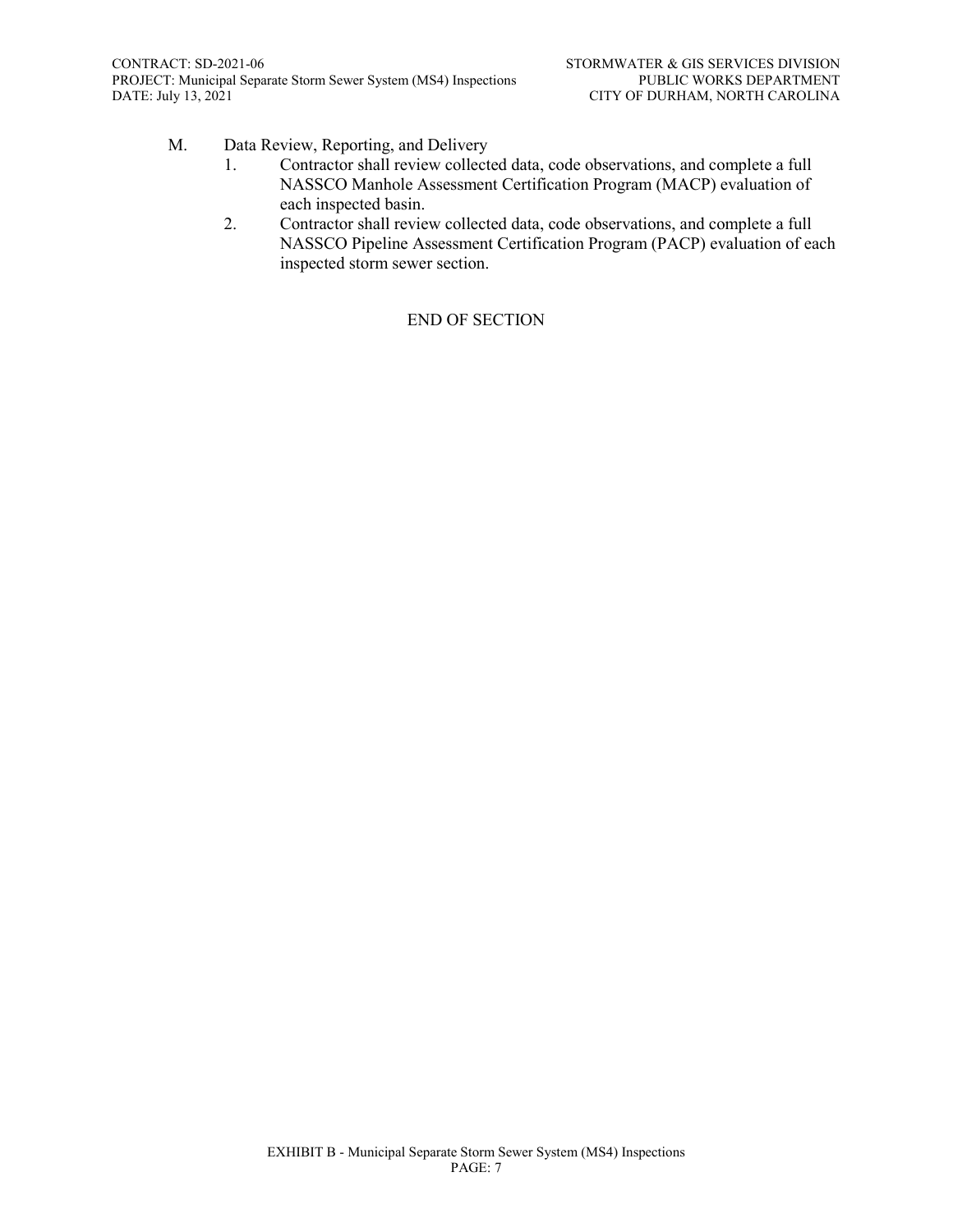- M. Data Review, Reporting, and Delivery
	- 1. Contractor shall review collected data, code observations, and complete a full NASSCO Manhole Assessment Certification Program (MACP) evaluation of each inspected basin.
	- 2. Contractor shall review collected data, code observations, and complete a full NASSCO Pipeline Assessment Certification Program (PACP) evaluation of each inspected storm sewer section.

#### END OF SECTION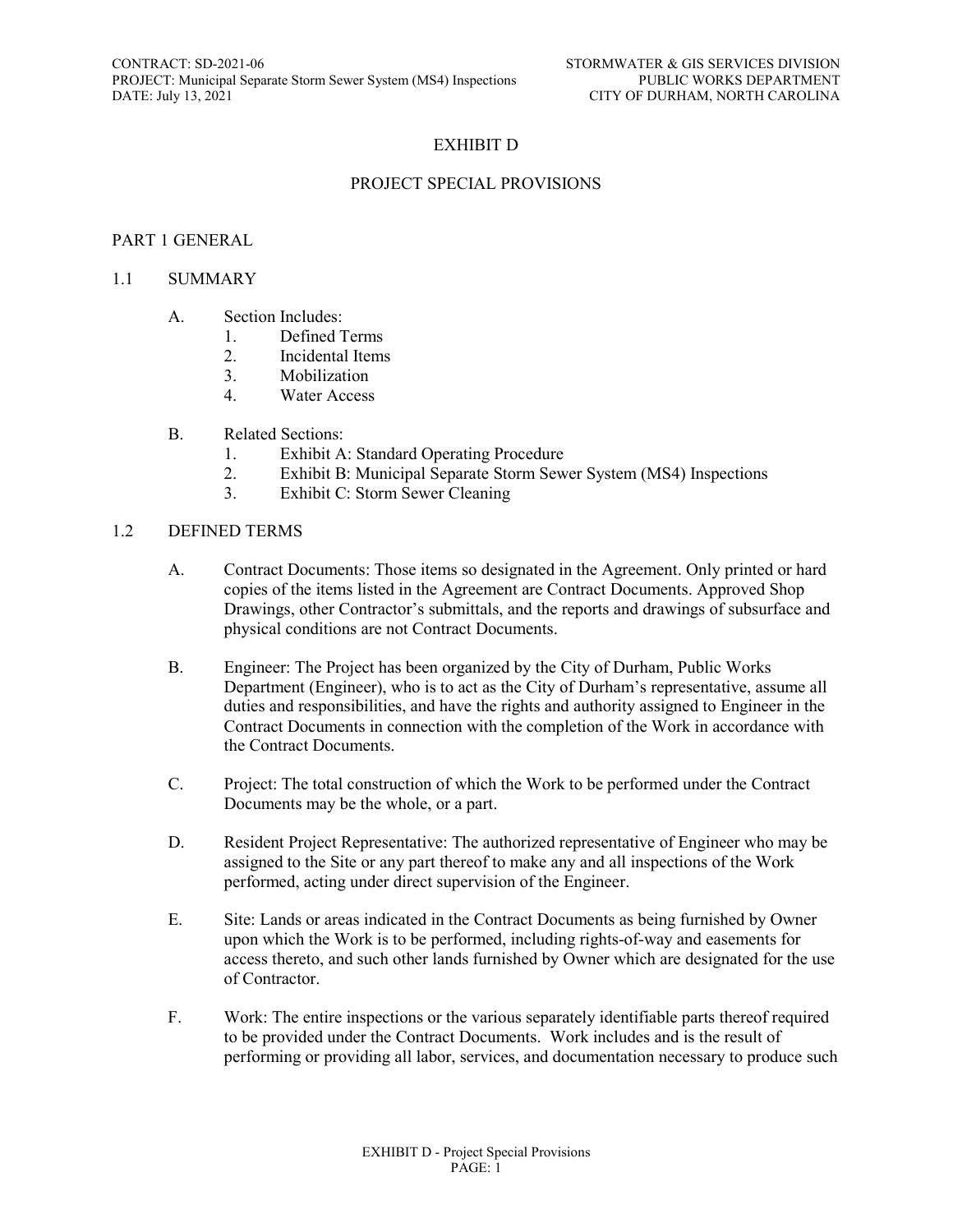#### EXHIBIT D

#### PROJECT SPECIAL PROVISIONS

#### PART 1 GENERAL

#### 1.1 SUMMARY

- A. Section Includes:
	- 1. Defined Terms
	- 2. Incidental Items
	- 3. Mobilization
	- 4. Water Access
- B. Related Sections:
	- 1. Exhibit A: Standard Operating Procedure
	- 2. Exhibit B: Municipal Separate Storm Sewer System (MS4) Inspections<br>
	By Exhibit C: Storm Sewer Cleaning
	- Exhibit C: Storm Sewer Cleaning

#### 1.2 DEFINED TERMS

- A. Contract Documents: Those items so designated in the Agreement. Only printed or hard copies of the items listed in the Agreement are Contract Documents. Approved Shop Drawings, other Contractor's submittals, and the reports and drawings of subsurface and physical conditions are not Contract Documents.
- B. Engineer: The Project has been organized by the City of Durham, Public Works Department (Engineer), who is to act as the City of Durham's representative, assume all duties and responsibilities, and have the rights and authority assigned to Engineer in the Contract Documents in connection with the completion of the Work in accordance with the Contract Documents.
- C. Project: The total construction of which the Work to be performed under the Contract Documents may be the whole, or a part.
- D. Resident Project Representative: The authorized representative of Engineer who may be assigned to the Site or any part thereof to make any and all inspections of the Work performed, acting under direct supervision of the Engineer.
- E. Site: Lands or areas indicated in the Contract Documents as being furnished by Owner upon which the Work is to be performed, including rights-of-way and easements for access thereto, and such other lands furnished by Owner which are designated for the use of Contractor.
- F. Work: The entire inspections or the various separately identifiable parts thereof required to be provided under the Contract Documents. Work includes and is the result of performing or providing all labor, services, and documentation necessary to produce such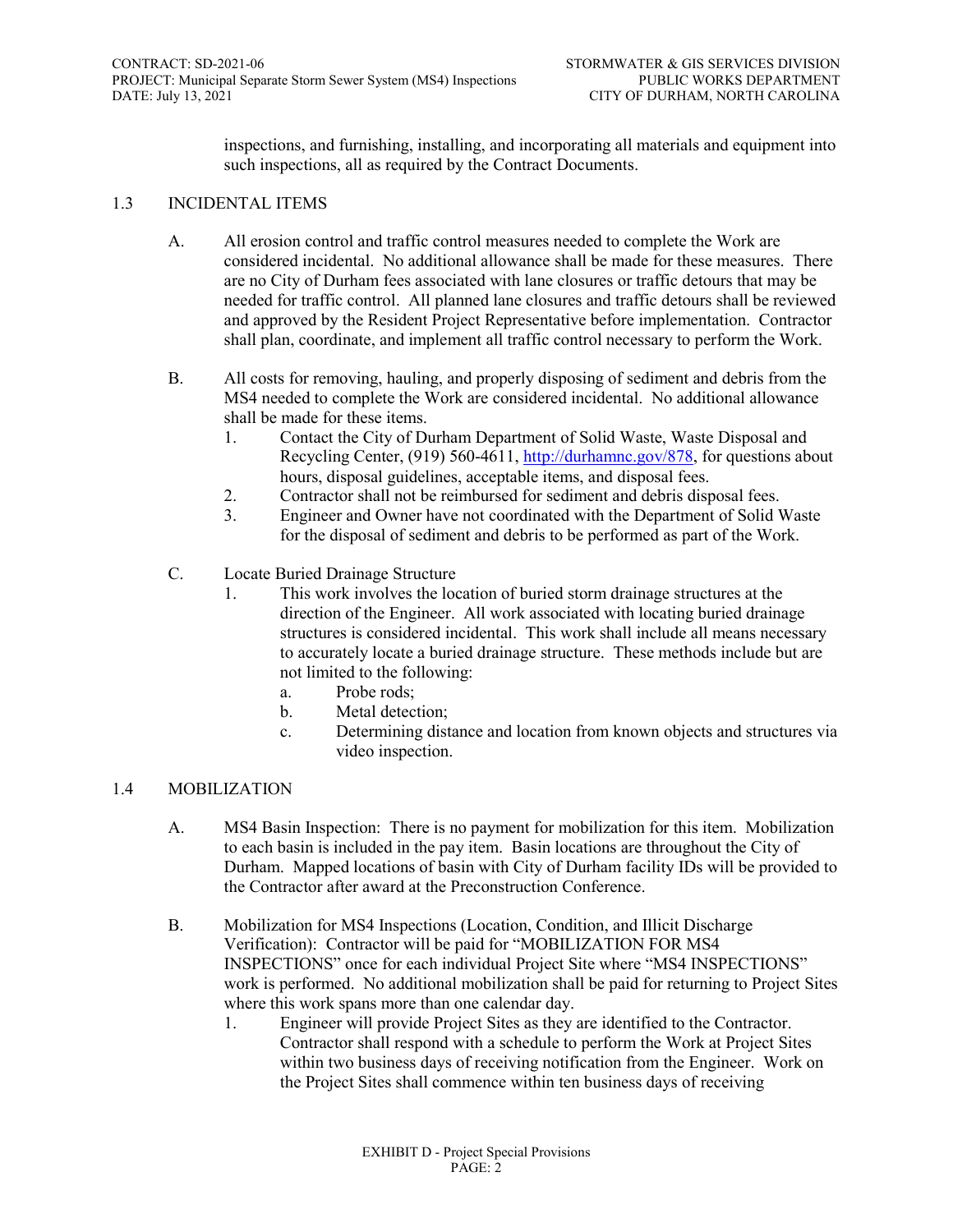inspections, and furnishing, installing, and incorporating all materials and equipment into such inspections, all as required by the Contract Documents.

#### 1.3 INCIDENTAL ITEMS

- A. All erosion control and traffic control measures needed to complete the Work are considered incidental. No additional allowance shall be made for these measures. There are no City of Durham fees associated with lane closures or traffic detours that may be needed for traffic control. All planned lane closures and traffic detours shall be reviewed and approved by the Resident Project Representative before implementation. Contractor shall plan, coordinate, and implement all traffic control necessary to perform the Work.
- B. All costs for removing, hauling, and properly disposing of sediment and debris from the MS4 needed to complete the Work are considered incidental. No additional allowance shall be made for these items.
	- 1. Contact the City of Durham Department of Solid Waste, Waste Disposal and Recycling Center, (919) 560-4611, [http://durhamnc.gov/878,](http://durhamnc.gov/878) for questions about hours, disposal guidelines, acceptable items, and disposal fees.
	- 2. Contractor shall not be reimbursed for sediment and debris disposal fees.
	- 3. Engineer and Owner have not coordinated with the Department of Solid Waste for the disposal of sediment and debris to be performed as part of the Work.
- C. Locate Buried Drainage Structure
	- 1. This work involves the location of buried storm drainage structures at the direction of the Engineer. All work associated with locating buried drainage structures is considered incidental. This work shall include all means necessary to accurately locate a buried drainage structure. These methods include but are not limited to the following:
		- a. Probe rods;
		- b. Metal detection;
		- c. Determining distance and location from known objects and structures via video inspection.

#### 1.4 MOBILIZATION

- A. MS4 Basin Inspection: There is no payment for mobilization for this item. Mobilization to each basin is included in the pay item. Basin locations are throughout the City of Durham. Mapped locations of basin with City of Durham facility IDs will be provided to the Contractor after award at the Preconstruction Conference.
- B. Mobilization for MS4 Inspections (Location, Condition, and Illicit Discharge Verification): Contractor will be paid for "MOBILIZATION FOR MS4 INSPECTIONS" once for each individual Project Site where "MS4 INSPECTIONS" work is performed. No additional mobilization shall be paid for returning to Project Sites where this work spans more than one calendar day.
	- 1. Engineer will provide Project Sites as they are identified to the Contractor. Contractor shall respond with a schedule to perform the Work at Project Sites within two business days of receiving notification from the Engineer. Work on the Project Sites shall commence within ten business days of receiving